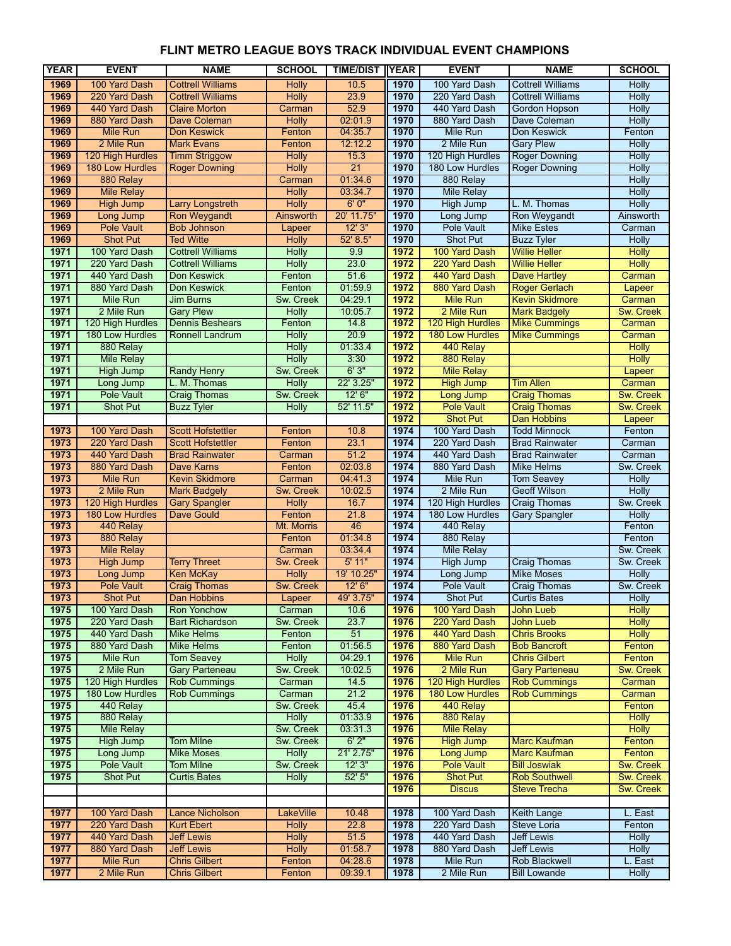| <b>YEAR</b>  | <b>EVENT</b>                        | <b>NAME</b>                                      | <b>SCHOOL</b>         | <b>TIME/DIST</b> | <b>IYEAR</b> | <b>EVENT</b>                        | <b>NAME</b>                                   | <b>SCHOOL</b>       |
|--------------|-------------------------------------|--------------------------------------------------|-----------------------|------------------|--------------|-------------------------------------|-----------------------------------------------|---------------------|
| 1969         | 100 Yard Dash                       | <b>Cottrell Williams</b>                         | <b>Holly</b>          | 10.5             | 1970         | 100 Yard Dash                       | <b>Cottrell Williams</b>                      | <b>Holly</b>        |
| 1969         | 220 Yard Dash                       | <b>Cottrell Williams</b>                         | <b>Holly</b>          | 23.9             | 1970         | 220 Yard Dash                       | <b>Cottrell Williams</b>                      | <b>Holly</b>        |
| 1969         | 440 Yard Dash                       | <b>Claire Morton</b>                             | Carman                | 52.9             | 1970         | 440 Yard Dash                       | Gordon Hopson                                 | <b>Holly</b>        |
| 1969         | 880 Yard Dash                       | Dave Coleman                                     | <b>Holly</b>          | 02:01.9          | 1970         | 880 Yard Dash                       | Dave Coleman                                  | <b>Holly</b>        |
| 1969         | <b>Mile Run</b>                     | <b>Don Keswick</b>                               | Fenton                | 04:35.7          | 1970         | Mile Run                            | Don Keswick                                   | Fenton              |
| 1969         | 2 Mile Run                          | <b>Mark Evans</b>                                | Fenton                | 12:12.2          | 1970         | 2 Mile Run                          | <b>Gary Plew</b>                              | <b>Holly</b>        |
| 1969         | 120 High Hurdles                    | <b>Timm Striggow</b>                             | <b>Holly</b>          | 15.3             | 1970         | 120 High Hurdles                    | <b>Roger Downing</b>                          | <b>Holly</b>        |
| 1969         | 180 Low Hurdles                     | <b>Roger Downing</b>                             | Holly                 | 21               | 1970         | 180 Low Hurdles                     | <b>Roger Downing</b>                          | <b>Holly</b>        |
| 1969         | 880 Relay                           |                                                  | Carman                | 01:34.6          | 1970         | 880 Relay                           |                                               | <b>Holly</b>        |
| 1969         | <b>Mile Relay</b>                   |                                                  | <b>Holly</b>          | 03:34.7          | 1970         | <b>Mile Relay</b>                   |                                               | <b>Holly</b>        |
| 1969         | <b>High Jump</b>                    | <b>Larry Longstreth</b>                          | Holly                 | 6'0''            | 1970         | <b>High Jump</b>                    | L. M. Thomas                                  | <b>Holly</b>        |
| 1969         | Long Jump                           | <b>Ron Weygandt</b>                              | Ainsworth             | 20' 11.75"       | 1970         | Long Jump                           | Ron Weygandt                                  | Ainsworth           |
| 1969         | <b>Pole Vault</b>                   | <b>Bob Johnson</b>                               | Lapeer                | 12'3''           | 1970         | <b>Pole Vault</b>                   | <b>Mike Estes</b>                             | Carman              |
| 1969         | <b>Shot Put</b>                     | <b>Ted Witte</b>                                 | Holly                 | 52' 8.5"         | 1970         | <b>Shot Put</b>                     | <b>Buzz Tyler</b>                             | <b>Holly</b>        |
| 1971         | 100 Yard Dash                       | <b>Cottrell Williams</b>                         | <b>Holly</b>          | 9.9              | 1972         | 100 Yard Dash                       | <b>Willie Heller</b>                          | <b>Holly</b>        |
| 1971         | 220 Yard Dash                       | <b>Cottrell Williams</b>                         | <b>Holly</b>          | 23.0             | 1972         | 220 Yard Dash                       | <b>Willie Heller</b>                          | <b>Holly</b>        |
| 1971         | 440 Yard Dash                       | Don Keswick                                      | Fenton                | 51.6             | 1972         | 440 Yard Dash                       | <b>Dave Hartley</b>                           | Carman              |
| 1971         | 880 Yard Dash                       | Don Keswick                                      | Fenton                | 01:59.9          | 1972         | 880 Yard Dash                       | <b>Roger Gerlach</b>                          | Lapeer              |
| 1971         | <b>Mile Run</b>                     | <b>Jim Burns</b>                                 | Sw. Creek             | 04:29.1          | 1972         | <b>Mile Run</b>                     | <b>Kevin Skidmore</b>                         | Carman              |
| 1971         | 2 Mile Run                          | <b>Gary Plew</b>                                 | Holly                 | 10:05.7          | 1972         | 2 Mile Run                          | <b>Mark Badgely</b>                           | <b>Sw. Creek</b>    |
| 1971<br>1971 | 120 High Hurdles<br>180 Low Hurdles | <b>Dennis Beshears</b><br><b>Ronnell Landrum</b> | Fenton                | 14.8<br>20.9     | 1972<br>1972 | 120 High Hurdles<br>180 Low Hurdles | <b>Mike Cummings</b>                          | Carman<br>Carman    |
| 1971         | 880 Relay                           |                                                  | <b>Holly</b><br>Holly | 01:33.4          | 1972         | 440 Relay                           | <b>Mike Cummings</b>                          | <b>Holly</b>        |
| 1971         | <b>Mile Relay</b>                   |                                                  | <b>Holly</b>          | 3:30             | 1972         | 880 Relay                           |                                               | <b>Holly</b>        |
| 1971         | <b>High Jump</b>                    | <b>Randy Henry</b>                               | Sw. Creek             | 6'3''            | 1972         | <b>Mile Relay</b>                   |                                               | Lapeer              |
| 1971         | Long Jump                           | L. M. Thomas                                     | Holly                 | 22' 3.25"        | 1972         | <b>High Jump</b>                    | <b>Tim Allen</b>                              | Carman              |
| 1971         | Pole Vault                          | <b>Craig Thomas</b>                              | Sw. Creek             | 12'6''           | 1972         | Long Jump                           | <b>Craig Thomas</b>                           | Sw. Creek           |
| 1971         | <b>Shot Put</b>                     | <b>Buzz Tyler</b>                                | <b>Holly</b>          | 52' 11.5"        | 1972         | <b>Pole Vault</b>                   | <b>Craig Thomas</b>                           | <b>Sw. Creek</b>    |
|              |                                     |                                                  |                       |                  | 1972         | <b>Shot Put</b>                     | <b>Dan Hobbins</b>                            | Lapeer              |
| 1973         | 100 Yard Dash                       | <b>Scott Hofstettler</b>                         | Fenton                | 10.8             | 1974         | 100 Yard Dash                       | <b>Todd Minnock</b>                           | Fenton              |
| 1973         | 220 Yard Dash                       | <b>Scott Hofstettler</b>                         | Fenton                | 23.1             | 1974         | 220 Yard Dash                       | <b>Brad Rainwater</b>                         | Carman              |
| 1973         | 440 Yard Dash                       | <b>Brad Rainwater</b>                            | Carman                | 51.2             | 1974         | 440 Yard Dash                       | <b>Brad Rainwater</b>                         | Carman              |
| 1973         | 880 Yard Dash                       | Dave Karns                                       | Fenton                | 02:03.8          | 1974         | 880 Yard Dash                       | <b>Mike Helms</b>                             | Sw. Creek           |
| 1973         | <b>Mile Run</b>                     | <b>Kevin Skidmore</b>                            | Carman                | 04:41.3          | 1974         | Mile Run                            | <b>Tom Seavey</b>                             | <b>Holly</b>        |
| 1973         | 2 Mile Run                          | <b>Mark Badgely</b>                              | Sw. Creek             | 10:02.5          | 1974         | 2 Mile Run                          | <b>Geoff Wilson</b>                           | <b>Holly</b>        |
| 1973         | 120 High Hurdles                    | <b>Gary Spangler</b>                             | <b>Holly</b>          | 16.7             | 1974         | 120 High Hurdles                    | <b>Craig Thomas</b>                           | Sw. Creek           |
| 1973         | 180 Low Hurdles                     | <b>Dave Gould</b>                                | Fenton                | 21.8             | 1974         | 180 Low Hurdles                     | <b>Gary Spangler</b>                          | <b>Holly</b>        |
| 1973         | 440 Relay                           |                                                  | Mt. Morris            | 46               | 1974         | 440 Relay                           |                                               | Fenton              |
| 1973         | 880 Relay                           |                                                  | Fenton                | 01:34.8          | 1974         | 880 Relay                           |                                               | Fenton              |
| 1973         | <b>Mile Relay</b>                   |                                                  | Carman                | 03:34.4          | 1974         | <b>Mile Relay</b>                   |                                               | Sw. Creek           |
| 1973         | <b>High Jump</b>                    | <b>Terry Threet</b>                              | <b>Sw. Creek</b>      | 5'11"            | 1974         | <b>High Jump</b>                    | <b>Craig Thomas</b>                           | Sw. Creek           |
| 1973         | Long Jump                           | <b>Ken McKay</b>                                 | <b>Holly</b>          | 19' 10.25"       | 1974         | Long Jump                           | <b>Mike Moses</b>                             | <b>Holly</b>        |
| 1973         | <b>Pole Vault</b>                   | <b>Craig Thomas</b>                              | Sw. Creek             | 12' 6''          | 1974         | <b>Pole Vault</b>                   | <b>Craig Thomas</b>                           | Sw. Creek           |
| 1973         | <b>Shot Put</b>                     | Dan Hobbins                                      | Lapeer                | 49' 3.75"        | 1974         | Shot Put                            | <b>Curtis Bates</b>                           | Holly               |
| 1975         | 100 Yard Dash                       | <b>Ron Yonchow</b>                               | Carman                | 10.6             | 1976         | 100 Yard Dash                       | John Lueb                                     | <b>Holly</b>        |
| 1975         | 220 Yard Dash                       | <b>Bart Richardson</b>                           | Sw. Creek             | 23.7             | 1976         | 220 Yard Dash                       | <b>John Lueb</b>                              | <b>Holly</b>        |
| 1975         | 440 Yard Dash                       | <b>Mike Helms</b>                                | Fenton                | 51               | 1976         | 440 Yard Dash                       | <b>Chris Brooks</b>                           | <b>Holly</b>        |
| 1975         | 880 Yard Dash                       | <b>Mike Helms</b>                                | Fenton                | 01:56.5          | 1976         | 880 Yard Dash                       | <b>Bob Bancroft</b>                           | Fenton              |
| 1975<br>1975 | Mile Run                            | <b>Tom Seavey</b>                                | <b>Holly</b>          | 04:29.1          | 1976         | <b>Mile Run</b>                     | <b>Chris Gilbert</b><br><b>Gary Parteneau</b> | Fenton              |
| 1975         | 2 Mile Run<br>120 High Hurdles      | <b>Gary Parteneau</b><br><b>Rob Cummings</b>     | Sw. Creek<br>Carman   | 10:02.5<br>14.5  | 1976<br>1976 | 2 Mile Run<br>120 High Hurdles      | <b>Rob Cummings</b>                           | Sw. Creek<br>Carman |
| 1975         | 180 Low Hurdles                     | <b>Rob Cummings</b>                              | Carman                | 21.2             | 1976         | 180 Low Hurdles                     | <b>Rob Cummings</b>                           | Carman              |
| 1975         | 440 Relay                           |                                                  | Sw. Creek             | 45.4             | 1976         | 440 Relay                           |                                               | Fenton              |
| 1975         | 880 Relay                           |                                                  | <b>Holly</b>          | 01:33.9          | 1976         | 880 Relay                           |                                               | <b>Holly</b>        |
| 1975         | <b>Mile Relay</b>                   |                                                  | Sw. Creek             | 03:31.3          | 1976         | <b>Mile Relay</b>                   |                                               | <b>Holly</b>        |
| 1975         | <b>High Jump</b>                    | <b>Tom Milne</b>                                 | Sw. Creek             | 6'2"             | 1976         | <b>High Jump</b>                    | <b>Marc Kaufman</b>                           | Fenton              |
| 1975         | Long Jump                           | <b>Mike Moses</b>                                | <b>Holly</b>          | 21' 2.75"        | 1976         | <b>Long Jump</b>                    | <b>Marc Kaufman</b>                           | Fenton              |
| 1975         | <b>Pole Vault</b>                   | <b>Tom Milne</b>                                 | Sw. Creek             | 12'3''           | 1976         | <b>Pole Vault</b>                   | <b>Bill Joswiak</b>                           | Sw. Creek           |
| 1975         | <b>Shot Put</b>                     | <b>Curtis Bates</b>                              | <b>Holly</b>          | 52'5''           | 1976         | <b>Shot Put</b>                     | <b>Rob Southwell</b>                          | Sw. Creek           |
|              |                                     |                                                  |                       |                  | 1976         | <b>Discus</b>                       | <b>Steve Trecha</b>                           | Sw. Creek           |
|              |                                     |                                                  |                       |                  |              |                                     |                                               |                     |
| 1977         | 100 Yard Dash                       | <b>Lance Nicholson</b>                           | <b>LakeVille</b>      | 10.48            | 1978         | 100 Yard Dash                       | <b>Keith Lange</b>                            | L. East             |
| 1977         | 220 Yard Dash                       | <b>Kurt Ebert</b>                                | <b>Holly</b>          | 22.8             | 1978         | 220 Yard Dash                       | <b>Steve Loria</b>                            | Fenton              |
| 1977         | 440 Yard Dash                       | <b>Jeff Lewis</b>                                | <b>Holly</b>          | 51.5             | 1978         | 440 Yard Dash                       | <b>Jeff Lewis</b>                             | <b>Holly</b>        |
| 1977         | 880 Yard Dash                       | <b>Jeff Lewis</b>                                | <b>Holly</b>          | 01:58.7          | 1978         | 880 Yard Dash                       | <b>Jeff Lewis</b>                             | <b>Holly</b>        |
| 1977         | <b>Mile Run</b>                     | <b>Chris Gilbert</b>                             | Fenton                | 04:28.6          | 1978         | <b>Mile Run</b>                     | Rob Blackwell                                 | L. East             |
| 1977         | 2 Mile Run                          | <b>Chris Gilbert</b>                             | Fenton                | 09:39.1          | 1978         | 2 Mile Run                          | <b>Bill Lowande</b>                           | <b>Holly</b>        |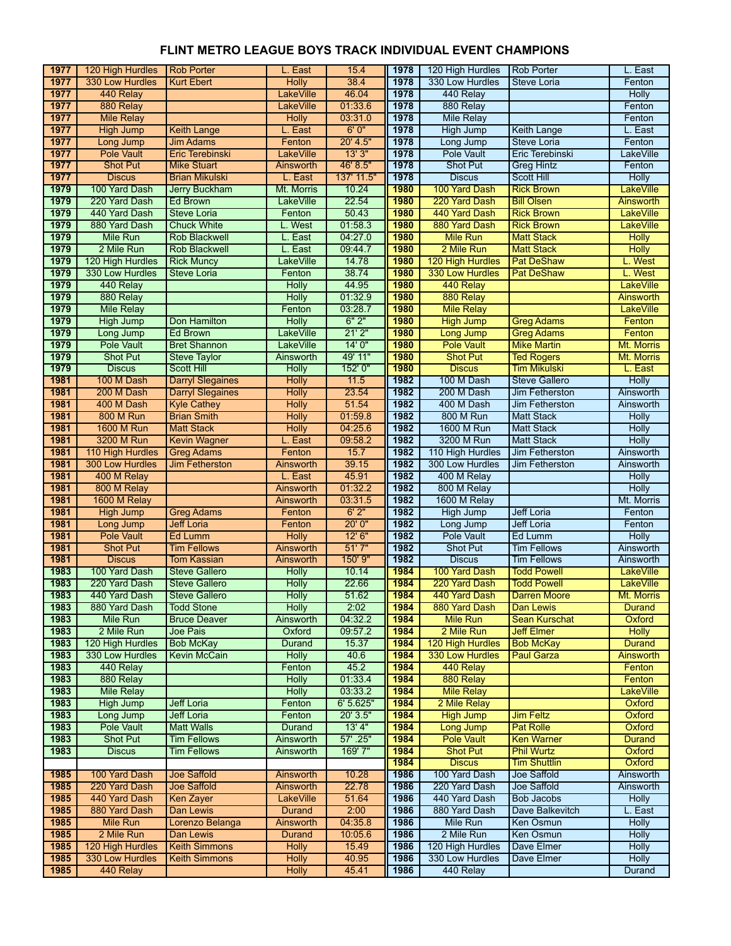| 1977         | 120 High Hurdles                 | <b>Rob Porter</b>                        | L. East                       | 15.4               | 1978         | 120 High Hurdles                    | <b>Rob Porter</b>                         | L. East                 |
|--------------|----------------------------------|------------------------------------------|-------------------------------|--------------------|--------------|-------------------------------------|-------------------------------------------|-------------------------|
| 1977         | 330 Low Hurdles                  | <b>Kurt Ebert</b>                        | <b>Holly</b>                  | 38.4               | 1978         | 330 Low Hurdles                     | Steve Loria                               | Fenton                  |
| 1977         | 440 Relay                        |                                          | LakeVille                     | 46.04              | 1978         | 440 Relay                           |                                           | <b>Holly</b>            |
| 1977         | 880 Relay                        |                                          | <b>LakeVille</b>              | 01:33.6            | 1978         | 880 Relay                           |                                           | Fenton                  |
| 1977         | <b>Mile Relay</b>                |                                          | <b>Holly</b>                  | 03:31.0            | 1978         | <b>Mile Relay</b>                   |                                           | Fenton                  |
| 1977         | <b>High Jump</b>                 | <b>Keith Lange</b>                       | L. East                       | 6'0''              | 1978         | <b>High Jump</b>                    | <b>Keith Lange</b>                        | L. East                 |
| 1977         | Long Jump                        | <b>Jim Adams</b>                         | Fenton                        | 20' 4.5"           | 1978         | Long Jump                           | Steve Loria                               | Fenton                  |
| 1977         | <b>Pole Vault</b>                | Eric Terebinski                          | <b>LakeVille</b>              | 13'3''             | 1978         | <b>Pole Vault</b>                   | Eric Terebinski                           | <b>LakeVille</b>        |
| 1977         | <b>Shot Put</b>                  | <b>Mike Stuart</b>                       | Ainsworth                     | 46' 8.5"           | 1978         | <b>Shot Put</b>                     | <b>Greg Hintz</b>                         | Fenton                  |
| 1977         | <b>Discus</b>                    | <b>Brian Mikulski</b>                    | L. East                       | 137' 11.5"         | 1978         | <b>Discus</b>                       | Scott Hill                                | <b>Holly</b>            |
| 1979         | 100 Yard Dash                    | Jerry Buckham                            | Mt. Morris                    | 10.24              | 1980         | 100 Yard Dash                       | <b>Rick Brown</b>                         | LakeVille               |
| 1979         | 220 Yard Dash                    | Ed Brown                                 | LakeVille                     | 22.54              | 1980         | 220 Yard Dash                       | <b>Bill Olsen</b>                         | Ainsworth               |
| 1979         | 440 Yard Dash                    | Steve Loria                              | Fenton                        | 50.43              | 1980         | 440 Yard Dash                       | <b>Rick Brown</b>                         | <b>LakeVille</b>        |
| 1979         | 880 Yard Dash                    | <b>Chuck White</b>                       | L. West                       | 01:58.3            | 1980         | 880 Yard Dash                       | <b>Rick Brown</b>                         | <b>LakeVille</b>        |
| 1979         | <b>Mile Run</b>                  | <b>Rob Blackwell</b>                     | L. East                       | 04:27.0            | 1980         | <b>Mile Run</b>                     | <b>Matt Stack</b>                         | <b>Holly</b>            |
| 1979         | 2 Mile Run                       | <b>Rob Blackwell</b>                     | L. East                       | 09:44.7            | 1980         | 2 Mile Run                          | <b>Matt Stack</b>                         | <b>Holly</b>            |
| 1979         | 120 High Hurdles                 | <b>Rick Muncy</b>                        | <b>LakeVille</b>              | 14.78              | 1980         | 120 High Hurdles                    | <b>Pat DeShaw</b>                         | L. West                 |
| 1979         | 330 Low Hurdles                  | <b>Steve Loria</b>                       | Fenton                        | 38.74              | 1980         | 330 Low Hurdles                     | <b>Pat DeShaw</b>                         | L. West                 |
| 1979         | 440 Relay                        |                                          | <b>Holly</b>                  | 44.95              | 1980         | 440 Relay                           |                                           | <b>LakeVille</b>        |
| 1979         | 880 Relay                        |                                          | <b>Holly</b>                  | 01:32.9            | 1980         | 880 Relay                           |                                           | Ainsworth               |
| 1979         | <b>Mile Relay</b>                |                                          | Fenton                        | 03:28.7            | 1980         | <b>Mile Relay</b>                   |                                           | <b>LakeVille</b>        |
| 1979         | <b>High Jump</b>                 | Don Hamilton                             | <b>Holly</b>                  | 6"2"               | 1980         | <b>High Jump</b>                    | <b>Greg Adams</b>                         | Fenton                  |
| 1979         | Long Jump                        | <b>Ed Brown</b>                          | <b>LakeVille</b>              | 21'2"              | 1980         | <b>Long Jump</b>                    | <b>Greg Adams</b>                         | Fenton                  |
| 1979         | Pole Vault                       | <b>Bret Shannon</b>                      | LakeVille                     | 14'0''             | 1980         | <b>Pole Vault</b>                   | <b>Mike Martin</b>                        | Mt. Morris              |
| 1979         | Shot Put                         | <b>Steve Taylor</b>                      | Ainsworth                     | 49' 11"            | 1980         | <b>Shot Put</b>                     | <b>Ted Rogers</b>                         | Mt. Morris              |
| 1979         | <b>Discus</b>                    | <b>Scott Hill</b>                        | <b>Holly</b>                  | 152' 0"            | 1980         | <b>Discus</b>                       | <b>Tim Mikulski</b>                       | L. East                 |
| 1981         | 100 M Dash                       | <b>Darryl Slegaines</b>                  | <b>Holly</b>                  | 11.5               | 1982         | 100 M Dash                          | <b>Steve Gallero</b>                      | <b>Holly</b>            |
| 1981         | 200 M Dash                       | <b>Darryl Slegaines</b>                  | <b>Holly</b>                  | 23.54              | 1982         | 200 M Dash                          | Jim Fetherston                            | Ainsworth               |
| 1981         | 400 M Dash                       |                                          | <b>Holly</b>                  | 51.54              | 1982         | 400 M Dash                          | Jim Fetherston                            | Ainsworth               |
| 1981         | <b>800 M Run</b>                 | <b>Kyle Cathey</b><br><b>Brian Smith</b> | <b>Holly</b>                  | 01:59.8            | 1982         | 800 M Run                           | <b>Matt Stack</b>                         | <b>Holly</b>            |
| 1981         | <b>1600 M Run</b>                | <b>Matt Stack</b>                        | <b>Holly</b>                  | 04:25.6            | 1982         | 1600 M Run                          | <b>Matt Stack</b>                         | <b>Holly</b>            |
| 1981         | 3200 M Run                       |                                          | L. East                       | 09:58.2            | 1982         | 3200 M Run                          | <b>Matt Stack</b>                         | <b>Holly</b>            |
| 1981         | 110 High Hurdles                 | <b>Kevin Wagner</b><br><b>Greg Adams</b> | Fenton                        | 15.7               | 1982         | 110 High Hurdles                    | Jim Fetherston                            | Ainsworth               |
| 1981         | 300 Low Hurdles                  | <b>Jim Fetherston</b>                    | Ainsworth                     | 39.15              | 1982         | 300 Low Hurdles                     | Jim Fetherston                            | Ainsworth               |
| 1981         |                                  |                                          |                               |                    | 1982         |                                     |                                           |                         |
|              | 400 M Relay                      |                                          | L. East                       | 45.91<br>01:32.2   | 1982         | 400 M Relay                         |                                           | <b>Holly</b>            |
| 1981<br>1981 | 800 M Relay                      |                                          | Ainsworth                     |                    | 1982         | 800 M Relay<br>1600 M Relay         |                                           | <b>Holly</b>            |
| 1981         | 1600 M Relay                     |                                          | Ainsworth                     | 03:31.5<br>6'2"    |              |                                     | <b>Jeff Loria</b>                         | Mt. Morris              |
| 1981         | <b>High Jump</b>                 | <b>Greg Adams</b><br><b>Jeff Loria</b>   | Fenton<br>Fenton              | 20'0"              | 1982<br>1982 | <b>High Jump</b>                    | <b>Jeff Loria</b>                         | Fenton<br>Fenton        |
| 1981         | Long Jump<br><b>Pole Vault</b>   |                                          | <b>Holly</b>                  | 12'6''             | 1982         | Long Jump<br><b>Pole Vault</b>      | Ed Lumm                                   |                         |
| 1981         |                                  | Ed Lumm                                  |                               | 51'7''             | 1982         |                                     |                                           | <b>Holly</b>            |
| 1981         | <b>Shot Put</b><br><b>Discus</b> | <b>Tim Fellows</b><br><b>Tom Kassian</b> | Ainsworth<br>Ainsworth        | 150' 9"            | 1982         | Shot Put<br><b>Discus</b>           | <b>Tim Fellows</b><br><b>Tim Fellows</b>  | Ainsworth<br>Ainsworth  |
| 1983         | 100 Yard Dash                    |                                          |                               |                    | 1984         |                                     |                                           |                         |
| 1983         | 220 Yard Dash                    | <b>Steve Gallero</b>                     | <b>Holly</b>                  | 10.14<br>22.66     | 1984         | 100 Yard Dash<br>220 Yard Dash      | <b>Todd Powell</b><br><b>Todd Powell</b>  | <b>LakeVille</b>        |
| 1983         | 440 Yard Dash                    | <b>Steve Gallero</b>                     | <b>Holly</b>                  | 51.62              | 1984         |                                     |                                           | <b>LakeVille</b>        |
|              | 880 Yard Dash                    | <b>Steve Gallero</b>                     | Holly                         |                    |              | 440 Yard Dash<br>880 Yard Dash      | <b>Darren Moore</b>                       | Mt. Morris              |
| 1983         | Mile Run                         | <b>Todd Stone</b>                        | Holly                         | 2:02               | 1984         |                                     | Dan Lewis                                 | Durand                  |
| 1983<br>1983 | 2 Mile Run                       | <b>Bruce Deaver</b><br>Joe Pais          | Ainsworth<br>Oxford           | 04:32.2<br>09:57.2 | 1984<br>1984 | <b>Mile Run</b><br>2 Mile Run       | <b>Sean Kurschat</b><br><b>Jeff Elmer</b> | Oxford<br><b>Holly</b>  |
| 1983         | 120 High Hurdles                 |                                          |                               |                    |              |                                     |                                           |                         |
| 1983         | 330 Low Hurdles                  | <b>Bob McKay</b><br><b>Kevin McCain</b>  | <b>Durand</b><br><b>Holly</b> | 15.37<br>40.6      | 1984<br>1984 | 120 High Hurdles<br>330 Low Hurdles | <b>Bob McKay</b><br><b>Paul Garza</b>     | Durand                  |
| 1983         | 440 Relay                        |                                          | Fenton                        | 45.2               | 1984         | 440 Relay                           |                                           | Ainsworth               |
|              |                                  |                                          |                               |                    |              |                                     |                                           | Fenton                  |
| 1983         | 880 Relay                        |                                          | Holly                         | 01:33.4            | 1984         | 880 Relay                           |                                           | Fenton                  |
| 1983         | <b>Mile Relay</b>                |                                          | <b>Holly</b>                  | 03:33.2            | 1984         | <b>Mile Relay</b>                   |                                           | <b>LakeVille</b>        |
| 1983         | <b>High Jump</b>                 | <b>Jeff Loria</b>                        | Fenton                        | 6'5.625''          | 1984         | 2 Mile Relay                        |                                           | Oxford                  |
| 1983         | Long Jump                        | <b>Jeff Loria</b>                        | Fenton                        | 20' 3.5"           | 1984         | <b>High Jump</b>                    | <b>Jim Feltz</b>                          | Oxford                  |
| 1983         | <b>Pole Vault</b>                | <b>Matt Walls</b><br><b>Tim Fellows</b>  | Durand                        | 13' 4"<br>57'.25"  | 1984         | <b>Long Jump</b>                    | <b>Pat Rolle</b><br><b>Ken Warner</b>     | Oxford<br><b>Durand</b> |
| 1983         | <b>Shot Put</b>                  |                                          | Ainsworth                     |                    | 1984         | <b>Pole Vault</b>                   |                                           |                         |
| 1983         | <b>Discus</b>                    | <b>Tim Fellows</b>                       | Ainsworth                     | 169'7"             | 1984         | <b>Shot Put</b>                     | <b>Phil Wurtz</b>                         | Oxford                  |
|              |                                  |                                          |                               | 10.28              | 1984         | <b>Discus</b>                       | <b>Tim Shuttlin</b><br>Joe Saffold        | Oxford                  |
| 1985         | 100 Yard Dash                    | <b>Joe Saffold</b>                       | Ainsworth                     |                    | 1986         | 100 Yard Dash                       |                                           | Ainsworth               |
| 1985         | 220 Yard Dash                    | <b>Joe Saffold</b>                       | Ainsworth                     | 22.78              | 1986         | 220 Yard Dash                       | Joe Saffold                               | Ainsworth               |
| 1985         | 440 Yard Dash                    | <b>Ken Zayer</b>                         | <b>LakeVille</b>              | 51.64              | 1986         | 440 Yard Dash                       | <b>Bob Jacobs</b>                         | <b>Holly</b>            |
| 1985         | 880 Yard Dash                    | Dan Lewis                                | <b>Durand</b>                 | 2:00               | 1986         | 880 Yard Dash                       | Dave Balkevitch                           | L. East                 |
| 1985         | <b>Mile Run</b>                  | Lorenzo Belanga                          | Ainsworth                     | 04:35.8            | 1986         | <b>Mile Run</b>                     | Ken Osmun                                 | <b>Holly</b>            |
| 1985         | 2 Mile Run                       | Dan Lewis                                | <b>Durand</b>                 | 10:05.6            | 1986         | 2 Mile Run                          | Ken Osmun                                 | <b>Holly</b>            |
| 1985         | 120 High Hurdles                 | <b>Keith Simmons</b>                     | <b>Holly</b>                  | 15.49              | 1986         | 120 High Hurdles                    | Dave Elmer                                | <b>Holly</b>            |
| 1985<br>1985 | 330 Low Hurdles                  | <b>Keith Simmons</b>                     | <b>Holly</b>                  | 40.95              | 1986         | 330 Low Hurdles                     | Dave Elmer                                | <b>Holly</b>            |
|              | 440 Relay                        |                                          | <b>Holly</b>                  | 45.41              | 1986         | 440 Relay                           |                                           | Durand                  |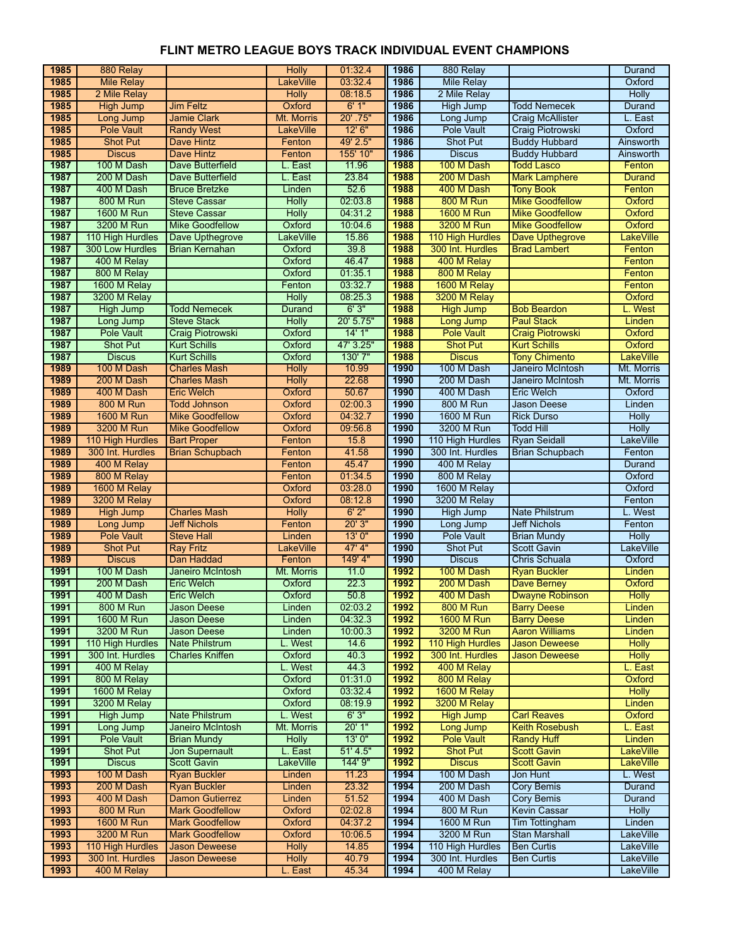| 1985         | 880 Relay                  |                         | <b>Holly</b>     | 01:32.4       | 1986         | 880 Relay                       |                         | Durand           |
|--------------|----------------------------|-------------------------|------------------|---------------|--------------|---------------------------------|-------------------------|------------------|
| 1985         | <b>Mile Relav</b>          |                         | <b>LakeVille</b> | 03:32.4       | 1986         | <b>Mile Relay</b>               |                         | Oxford           |
| 1985         | 2 Mile Relay               |                         | <b>Holly</b>     | 08:18.5       | 1986         | 2 Mile Relay                    |                         | Holly            |
| 1985         | <b>High Jump</b>           | <b>Jim Feltz</b>        | Oxford           | 6'1''         | 1986         | <b>High Jump</b>                | <b>Todd Nemecek</b>     | Durand           |
| 1985         | Long Jump                  | <b>Jamie Clark</b>      | Mt. Morris       | 20' .75"      | 1986         | Long Jump                       | <b>Craig McAllister</b> | L. East          |
| 1985         | <b>Pole Vault</b>          | <b>Randy West</b>       | <b>LakeVille</b> | 12'6''        | 1986         | <b>Pole Vault</b>               | Craig Piotrowski        | Oxford           |
| 1985         | <b>Shot Put</b>            | Dave Hintz              | Fenton           | 49' 2.5"      | 1986         | Shot Put                        | <b>Buddy Hubbard</b>    | Ainsworth        |
| 1985         | <b>Discus</b>              | <b>Dave Hintz</b>       | Fenton           | 155' 10"      | 1986         | <b>Discus</b>                   | <b>Buddy Hubbard</b>    | Ainsworth        |
| 1987         | 100 M Dash                 | Dave Butterfield        | L. East          | 11.96         | 1988         | 100 M Dash                      | <b>Todd Lasco</b>       | Fenton           |
| 1987         | 200 M Dash                 | Dave Butterfield        | L. East          | 23.84         | 1988         | 200 M Dash                      | <b>Mark Lamphere</b>    | <b>Durand</b>    |
| 1987         | 400 M Dash                 | <b>Bruce Bretzke</b>    | Linden           | 52.6          | 1988         | 400 M Dash                      | <b>Tony Book</b>        | Fenton           |
| 1987         | <b>800 M Run</b>           | <b>Steve Cassar</b>     | <b>Holly</b>     | 02:03.8       | 1988         | <b>800 M Run</b>                | <b>Mike Goodfellow</b>  | Oxford           |
| 1987         | 1600 M Run                 | <b>Steve Cassar</b>     | <b>Holly</b>     | 04:31.2       | 1988         | <b>1600 M Run</b>               | <b>Mike Goodfellow</b>  | Oxford           |
| 1987         | 3200 M Run                 | <b>Mike Goodfellow</b>  | Oxford           | 10:04.6       | 1988         | 3200 M Run                      | <b>Mike Goodfellow</b>  | Oxford           |
| 1987         | 110 High Hurdles           | Dave Upthegrove         | <b>LakeVille</b> | 15.86         | 1988         | 110 High Hurdles                | Dave Upthegrove         | LakeVille        |
| 1987         | 300 Low Hurdles            | <b>Brian Kernahan</b>   | Oxford           | 39.8          | 1988         | 300 Int. Hurdles                | <b>Brad Lambert</b>     | Fenton           |
| 1987         | 400 M Relay                |                         | Oxford           | 46.47         | 1988         | 400 M Relay                     |                         | Fenton           |
| 1987         | 800 M Relay                |                         | Oxford           | 01:35.1       | 1988         | 800 M Relay                     |                         | Fenton           |
| 1987         | 1600 M Relay               |                         | Fenton           | 03:32.7       | 1988         | 1600 M Relay                    |                         | Fenton           |
| 1987         | 3200 M Relay               |                         | <b>Holly</b>     | 08:25.3       | 1988         | 3200 M Relay                    |                         | Oxford           |
| 1987         | <b>High Jump</b>           | <b>Todd Nemecek</b>     | Durand           | 6'3''         | 1988         | <b>High Jump</b>                | <b>Bob Beardon</b>      | L. West          |
| 1987         | Long Jump                  | <b>Steve Stack</b>      | <b>Holly</b>     | 20' 5.75"     | 1988         | <b>Long Jump</b>                | <b>Paul Stack</b>       | Linden           |
| 1987         | Pole Vault                 | Craig Piotrowski        | Oxford           | 14'1''        | 1988         | <b>Pole Vault</b>               | <b>Craig Piotrowski</b> | Oxford           |
| 1987         | <b>Shot Put</b>            | <b>Kurt Schills</b>     | Oxford           | 47' 3.25"     | 1988         | <b>Shot Put</b>                 | <b>Kurt Schills</b>     | Oxford           |
| 1987         | <b>Discus</b>              | <b>Kurt Schills</b>     | Oxford           | 130' 7"       | 1988         | <b>Discus</b>                   | <b>Tony Chimento</b>    | <b>LakeVille</b> |
| 1989         | 100 M Dash                 | <b>Charles Mash</b>     | <b>Holly</b>     | 10.99         | 1990         | 100 M Dash                      | Janeiro McIntosh        | Mt. Morris       |
| 1989         | 200 M Dash                 | <b>Charles Mash</b>     | <b>Holly</b>     | 22.68         | 1990         | 200 M Dash                      | Janeiro McIntosh        | Mt. Morris       |
| 1989         | 400 M Dash                 | <b>Eric Welch</b>       | Oxford           | 50.67         | 1990         | 400 M Dash                      | <b>Eric Welch</b>       | Oxford           |
| 1989         | 800 M Run                  | <b>Todd Johnson</b>     | Oxford           | 02:00.3       | 1990         | <b>800 M Run</b>                | Jason Deese             | Linden           |
| 1989         | 1600 M Run                 | <b>Mike Goodfellow</b>  | Oxford           | 04:32.7       | 1990         | 1600 M Run                      | <b>Rick Durso</b>       | <b>Holly</b>     |
| 1989         | 3200 M Run                 | <b>Mike Goodfellow</b>  | Oxford           | 09:56.8       | 1990         | 3200 M Run                      | <b>Todd Hill</b>        | <b>Holly</b>     |
| 1989<br>1989 | 110 High Hurdles           | <b>Bart Proper</b>      | Fenton           | 15.8<br>41.58 | 1990<br>1990 | 110 High Hurdles                | <b>Ryan Seidall</b>     | <b>LakeVille</b> |
| 1989         | 300 Int. Hurdles           | <b>Brian Schupbach</b>  | Fenton<br>Fenton | 45.47         | 1990         | 300 Int. Hurdles<br>400 M Relay | <b>Brian Schupbach</b>  | Fenton<br>Durand |
| 1989         | 400 M Relay<br>800 M Relay |                         | Fenton           | 01:34.5       | 1990         | 800 M Relay                     |                         | Oxford           |
| 1989         | 1600 M Relay               |                         | Oxford           | 03:28.0       | 1990         | 1600 M Relay                    |                         | Oxford           |
| 1989         | 3200 M Relay               |                         | Oxford           | 08:12.8       | 1990         | 3200 M Relay                    |                         | Fenton           |
| 1989         | <b>High Jump</b>           | <b>Charles Mash</b>     | <b>Holly</b>     | 6'2"          | 1990         | <b>High Jump</b>                | <b>Nate Philstrum</b>   | L. West          |
| 1989         | Long Jump                  | <b>Jeff Nichols</b>     | Fenton           | 20'3''        | 1990         | Long Jump                       | <b>Jeff Nichols</b>     | Fenton           |
| 1989         | <b>Pole Vault</b>          | <b>Steve Hall</b>       | Linden           | 13'0''        | 1990         | <b>Pole Vault</b>               | <b>Brian Mundy</b>      | <b>Holly</b>     |
| 1989         | <b>Shot Put</b>            | <b>Ray Fritz</b>        | LakeVille        | $47'$ 4"      | 1990         | <b>Shot Put</b>                 | <b>Scott Gavin</b>      | LakeVille        |
| 1989         | <b>Discus</b>              | Dan Haddad              | Fenton           | 149' 4"       | 1990         | <b>Discus</b>                   | Chris Schuala           | Oxford           |
| 1991         | 100 M Dash                 | <b>Janeiro McIntosh</b> | Mt. Morris       | 11.0          | 1992         | 100 M Dash                      | <b>Ryan Buckler</b>     | Linden           |
| 1991         | 200 M Dash                 | <b>Eric Welch</b>       | Oxford           | 22.3          | 1992         | 200 M Dash                      | Dave Berney             | Oxford           |
| 1991         | 400 M Dash                 | <b>Eric Welch</b>       | Oxford           | 50.8          | 1992         | 400 M Dash                      | <b>Dwayne Robinson</b>  | <b>Holly</b>     |
| 1991         | 800 M Run                  | <b>Jason Deese</b>      | Linden           | 02:03.2       | 1992         | <b>800 M Run</b>                | <b>Barry Deese</b>      | Linden           |
| 1991         | 1600 M Run                 | <b>Jason Deese</b>      | Linden           | 04:32.3       | 1992         | <b>1600 M Run</b>               | <b>Barry Deese</b>      | Linden           |
| 1991         | 3200 M Run                 | <b>Jason Deese</b>      | Linden           | 10:00.3       | 1992         | 3200 M Run                      | <b>Aaron Williams</b>   | Linden           |
| 1991         | 110 High Hurdles           | <b>Nate Philstrum</b>   | L. West          | 14.6          | 1992         | 110 High Hurdles                | <b>Jason Deweese</b>    | <b>Holly</b>     |
| 1991         | 300 Int. Hurdles           | <b>Charles Kniffen</b>  | Oxford           | 40.3          | 1992         | 300 Int. Hurdles                | <b>Jason Deweese</b>    | <b>Holly</b>     |
| 1991         | 400 M Relay                |                         | L. West          | 44.3          | 1992         | 400 M Relay                     |                         | L. East          |
| 1991         | 800 M Relay                |                         | Oxford           | 01:31.0       | 1992         | 800 M Relay                     |                         | Oxford           |
| 1991         | 1600 M Relay               |                         | Oxford           | 03:32.4       | 1992         | 1600 M Relay                    |                         | <b>Holly</b>     |
| 1991         | 3200 M Relay               |                         | Oxford           | 08:19.9       | 1992         | 3200 M Relay                    |                         | Linden           |
| 1991         | <b>High Jump</b>           | Nate Philstrum          | L. West          | 6'3''         | 1992         | <b>High Jump</b>                | <b>Carl Reaves</b>      | Oxford           |
| 1991         | Long Jump                  | Janeiro McIntosh        | Mt. Morris       | 20'1"         | 1992         | <b>Long Jump</b>                | <b>Keith Rosebush</b>   | L. East          |
| 1991         | <b>Pole Vault</b>          | <b>Brian Mundy</b>      | <b>Holly</b>     | 13'0''        | 1992         | <b>Pole Vault</b>               | <b>Randy Huff</b>       | Linden           |
| 1991         | <b>Shot Put</b>            | <b>Jon Supernault</b>   | L. East          | 51' 4.5"      | 1992         | <b>Shot Put</b>                 | <b>Scott Gavin</b>      | <b>LakeVille</b> |
| 1991         | <b>Discus</b>              | <b>Scott Gavin</b>      | LakeVille        | 144' 9"       | 1992         | <b>Discus</b>                   | <b>Scott Gavin</b>      | <b>LakeVille</b> |
| 1993         | 100 M Dash                 | <b>Ryan Buckler</b>     | Linden           | 11.23         | 1994         | 100 M Dash                      | Jon Hunt                | L. West          |
| 1993         | 200 M Dash                 | <b>Ryan Buckler</b>     | Linden           | 23.32         | 1994         | 200 M Dash                      | <b>Cory Bemis</b>       | Durand           |
| 1993         | 400 M Dash                 | <b>Damon Gutierrez</b>  | Linden           | 51.52         | 1994         | 400 M Dash                      | <b>Cory Bemis</b>       | Durand           |
| 1993         | 800 M Run                  | <b>Mark Goodfellow</b>  | Oxford           | 02:02.8       | 1994         | 800 M Run                       | <b>Kevin Cassar</b>     | <b>Holly</b>     |
| 1993         | <b>1600 M Run</b>          | <b>Mark Goodfellow</b>  | Oxford           | 04:37.2       | 1994         | <b>1600 M Run</b>               | <b>Tim Tottingham</b>   | Linden           |
| 1993         | 3200 M Run                 | <b>Mark Goodfellow</b>  | Oxford           | 10:06.5       | 1994         | 3200 M Run                      | <b>Stan Marshall</b>    | LakeVille        |
| 1993         | 110 High Hurdles           | <b>Jason Deweese</b>    | <b>Holly</b>     | 14.85         | 1994         | 110 High Hurdles                | <b>Ben Curtis</b>       | <b>LakeVille</b> |
| 1993         | 300 Int. Hurdles           | <b>Jason Deweese</b>    | <b>Holly</b>     | 40.79         | 1994         | 300 Int. Hurdles                | <b>Ben Curtis</b>       | LakeVille        |
| 1993         | 400 M Relay                |                         | L. East          | 45.34         | 1994         | 400 M Relay                     |                         | <b>LakeVille</b> |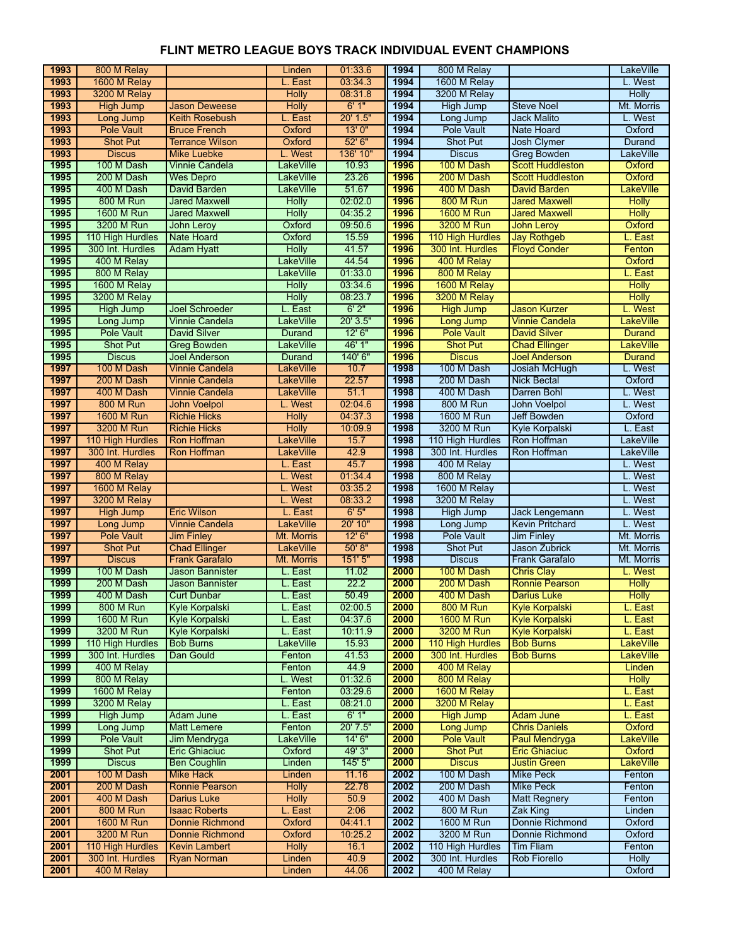| 1993         | 800 M Relay                    |                                               | Linden                      | 01:33.6          | 1994         | 800 M Relay                    |                                          | <b>LakeVille</b>   |
|--------------|--------------------------------|-----------------------------------------------|-----------------------------|------------------|--------------|--------------------------------|------------------------------------------|--------------------|
| 1993         | 1600 M Relay                   |                                               | L. East                     | 03:34.3          | 1994         | 1600 M Relay                   |                                          | L. West            |
| 1993         | 3200 M Relay                   |                                               | <b>Holly</b>                | 08:31.8          | 1994         | 3200 M Relay                   |                                          | <b>Holly</b>       |
| 1993         | <b>High Jump</b>               | <b>Jason Deweese</b>                          | <b>Holly</b>                | 6'1''            | 1994         | <b>High Jump</b>               | <b>Steve Noel</b>                        | Mt. Morris         |
| 1993         | Long Jump                      | <b>Keith Rosebush</b>                         | L. East                     | 20' 1.5"         | 1994         | Long Jump                      | <b>Jack Malito</b>                       | L. West            |
| 1993         | <b>Pole Vault</b>              | <b>Bruce French</b>                           | Oxford                      | 13'0''           | 1994         | Pole Vault                     | <b>Nate Hoard</b>                        | Oxford             |
| 1993         | <b>Shot Put</b>                | <b>Terrance Wilson</b>                        | Oxford                      | 52' 6"           | 1994         | <b>Shot Put</b>                | <b>Josh Clymer</b>                       | <b>Durand</b>      |
| 1993         | <b>Discus</b>                  | <b>Mike Luebke</b>                            | L. West                     | 136' 10"         | 1994         | <b>Discus</b>                  | <b>Greg Bowden</b>                       | LakeVille          |
| 1995         | 100 M Dash                     | <b>Vinnie Candela</b>                         | <b>LakeVille</b>            | 10.93            | 1996         | 100 M Dash                     | <b>Scott Huddleston</b>                  | Oxford             |
| 1995         | 200 M Dash                     | <b>Wes Depro</b>                              | <b>LakeVille</b>            | 23.26            | 1996         | 200 M Dash                     | <b>Scott Huddleston</b>                  | Oxford             |
| 1995         | 400 M Dash                     | <b>David Barden</b>                           | <b>LakeVille</b>            | 51.67            | 1996         | 400 M Dash                     | David Barden                             | LakeVille          |
| 1995         | <b>800 M Run</b>               | <b>Jared Maxwell</b>                          | <b>Holly</b>                | 02:02.0          | 1996         | <b>800 M Run</b>               | <b>Jared Maxwell</b>                     | <b>Holly</b>       |
| 1995         | <b>1600 M Run</b>              | <b>Jared Maxwell</b>                          | <b>Holly</b>                | 04:35.2          | 1996         | <b>1600 M Run</b>              | <b>Jared Maxwell</b>                     | <b>Holly</b>       |
| 1995         | 3200 M Run                     | John Leroy                                    | Oxford                      | 09:50.6          | 1996         | 3200 M Run                     | <b>John Leroy</b>                        | Oxford             |
| 1995         | 110 High Hurdles               | <b>Nate Hoard</b>                             | Oxford                      | 15.59            | 1996         | 110 High Hurdles               | <b>Jay Rothgeb</b>                       | L. East            |
| 1995         | 300 Int. Hurdles               | <b>Adam Hyatt</b>                             | <b>Holly</b>                | 41.57            | 1996         | 300 Int. Hurdles               | <b>Floyd Conder</b>                      | Fenton             |
| 1995         | 400 M Relay                    |                                               | LakeVille                   | 44 54            | 1996         | 400 M Relay                    |                                          | Oxford             |
| 1995         | 800 M Relay                    |                                               | LakeVille                   | 01:33.0          | 1996         | 800 M Relay                    |                                          | L. East            |
| 1995         | 1600 M Relay                   |                                               | <b>Holly</b>                | 03:34.6          | 1996         | 1600 M Relay                   |                                          | <b>Holly</b>       |
| 1995         | 3200 M Relay                   |                                               | <b>Holly</b>                | 08:23.7          | 1996         | 3200 M Relay                   |                                          | <b>Holly</b>       |
| 1995         | High Jump                      | <b>Joel Schroeder</b>                         | L. East                     | 6'2"             | 1996         | <b>High Jump</b>               | <b>Jason Kurzer</b>                      | L. West            |
| 1995         | Long Jump                      | <b>Vinnie Candela</b>                         | <b>LakeVille</b>            | 20' 3.5"         | 1996         | <b>Long Jump</b>               | <b>Vinnie Candela</b>                    | <b>LakeVille</b>   |
| 1995         | <b>Pole Vault</b>              | <b>David Silver</b>                           | <b>Durand</b>               | 12'6''           | 1996         | <b>Pole Vault</b>              | <b>David Silver</b>                      | <b>Durand</b>      |
| 1995         | <b>Shot Put</b>                | <b>Greg Bowden</b>                            | <b>LakeVille</b>            | 46' 1"           | 1996         | <b>Shot Put</b>                | <b>Chad Ellinger</b>                     | <b>LakeVille</b>   |
| 1995         | <b>Discus</b>                  | <b>Joel Anderson</b>                          | Durand                      | 140' 6"          | 1996         | <b>Discus</b>                  | <b>Joel Anderson</b>                     | <b>Durand</b>      |
| 1997         | 100 M Dash                     | <b>Vinnie Candela</b>                         | LakeVille                   | 10.7             | 1998         | 100 M Dash                     | Josiah McHugh                            | L. West            |
| 1997         | 200 M Dash                     | <b>Vinnie Candela</b>                         | <b>LakeVille</b>            | 22.57            | 1998         | 200 M Dash                     | <b>Nick Bectal</b>                       | Oxford             |
| 1997         | 400 M Dash                     | <b>Vinnie Candela</b>                         | <b>LakeVille</b>            | 51.1             | 1998         | 400 M Dash                     | Darren Bohl                              | L. West            |
| 1997         | <b>800 M Run</b>               | <b>John Voelpol</b>                           | L. West                     | 02:04.6          | 1998         | <b>800 M Run</b>               | John Voelpol                             | L. West            |
| 1997         | 1600 M Run                     | <b>Richie Hicks</b>                           | <b>Holly</b>                | 04:37.3          | 1998         | 1600 M Run                     | Jeff Bowden                              | Oxford             |
| 1997         | 3200 M Run                     | <b>Richie Hicks</b>                           | <b>Holly</b>                | 10:09.9          | 1998         | 3200 M Run                     | <b>Kyle Korpalski</b>                    | L. East            |
| 1997         | 110 High Hurdles               | Ron Hoffman                                   | <b>LakeVille</b>            | 15.7             | 1998         | 110 High Hurdles               | Ron Hoffman                              | <b>LakeVille</b>   |
| 1997         | 300 Int. Hurdles               | Ron Hoffman                                   | <b>LakeVille</b>            | 42.9             | 1998         | 300 Int. Hurdles               | Ron Hoffman                              | <b>LakeVille</b>   |
| 1997         | 400 M Relay                    |                                               | L. East                     | 45.7             | 1998         | 400 M Relay                    |                                          | L. West            |
| 1997         | 800 M Relay                    |                                               | L. West<br>L. West          | 01:34.4          | 1998         | 800 M Relay                    |                                          | L. West            |
| 1997         | 1600 M Relay                   |                                               |                             | 03:35.2          | 1998         | 1600 M Relay                   |                                          | L. West            |
| 1997<br>1997 | 3200 M Relay                   | <b>Eric Wilson</b>                            | L. West                     | 08:33.2<br>6'5'' | 1998<br>1998 | 3200 M Relay                   |                                          | L. West            |
| 1997         | <b>High Jump</b>               | <b>Vinnie Candela</b>                         | L. East<br><b>LakeVille</b> | 20' 10"          | 1998         | <b>High Jump</b>               | Jack Lengemann<br><b>Kevin Pritchard</b> | L. West<br>L. West |
| 1997         | Long Jump<br><b>Pole Vault</b> | <b>Jim Finley</b>                             | Mt. Morris                  | 12'6''           | 1998         | Long Jump<br><b>Pole Vault</b> | <b>Jim Finley</b>                        | Mt. Morris         |
| 1997         | <b>Shot Put</b>                |                                               | LakeVille                   | 50' 8''          | 1998         | <b>Shot Put</b>                | Jason Zubrick                            | Mt. Morris         |
| 1997         | <b>Discus</b>                  | <b>Chad Ellinger</b><br><b>Frank Garafalo</b> | Mt. Morris                  | 151'5"           | 1998         | <b>Discus</b>                  | <b>Frank Garafalo</b>                    | Mt. Morris         |
| 1999         | 100 M Dash                     | <b>Jason Bannister</b>                        | L. East                     | 11.02            | 2000         | 100 M Dash                     | <b>Chris Clay</b>                        | L. West            |
| 1999         | 200 M Dash                     | <b>Jason Bannister</b>                        | L. East                     | 22.2             | 2000         | 200 M Dash                     | <b>Ronnie Pearson</b>                    | <b>Holly</b>       |
| 1999         | 400 M Dash                     | <b>Curt Dunbar</b>                            | L. East                     | 50.49            | 2000         | 400 M Dash                     | Darius Luke                              | <b>Holly</b>       |
| 1999         | <b>800 M Run</b>               | <b>Kyle Korpalski</b>                         | L. East                     | 02:00.5          | 2000         | <b>800 M Run</b>               | <b>Kyle Korpalski</b>                    | L. East            |
| 1999         | <b>1600 M Run</b>              | Kyle Korpalski                                | L. East                     | 04:37.6          | 2000         | <b>1600 M Run</b>              | <b>Kyle Korpalski</b>                    | L. East            |
| 1999         | 3200 M Run                     | Kyle Korpalski                                | L. East                     | 10:11.9          | 2000         | 3200 M Run                     | <b>Kyle Korpalski</b>                    | L. East            |
| 1999         | 110 High Hurdles               | <b>Bob Burns</b>                              | <b>LakeVille</b>            | 15.93            | 2000         | 110 High Hurdles               | <b>Bob Burns</b>                         | <b>LakeVille</b>   |
| 1999         | 300 Int. Hurdles               | Dan Gould                                     | Fenton                      | 41.53            | 2000         | 300 Int. Hurdles               | <b>Bob Burns</b>                         | <b>LakeVille</b>   |
| 1999         | 400 M Relay                    |                                               | Fenton                      | 44.9             | 2000         | 400 M Relay                    |                                          | Linden             |
| 1999         | 800 M Relay                    |                                               | L. West                     | 01:32.6          | 2000         | 800 M Relay                    |                                          | <b>Holly</b>       |
| 1999         | 1600 M Relay                   |                                               | Fenton                      | 03:29.6          | 2000         | 1600 M Relay                   |                                          | L. East            |
| 1999         | 3200 M Relay                   |                                               | L. East                     | 08:21.0          | 2000         | 3200 M Relay                   |                                          | L. East            |
| 1999         | <b>High Jump</b>               | <b>Adam June</b>                              | L. East                     | 6'1"             | 2000         | <b>High Jump</b>               | <b>Adam June</b>                         | L. East            |
| 1999         | Long Jump                      | <b>Matt Lemere</b>                            | Fenton                      | 20' 7.5"         | 2000         | <b>Long Jump</b>               | <b>Chris Daniels</b>                     | Oxford             |
| 1999         | <b>Pole Vault</b>              | Jim Mendryga                                  | LakeVille                   | 14'6''           | 2000         | <b>Pole Vault</b>              | Paul Mendryga                            | <b>LakeVille</b>   |
| 1999         | <b>Shot Put</b>                | <b>Eric Ghiaciuc</b>                          | Oxford                      | 49' 3"           | 2000         | <b>Shot Put</b>                | <b>Eric Ghiaciuc</b>                     | Oxford             |
| 1999         | <b>Discus</b>                  | <b>Ben Coughlin</b>                           | Linden                      | 145'5''          | 2000         | <b>Discus</b>                  | <b>Justin Green</b>                      | <b>LakeVille</b>   |
| 2001         | 100 M Dash                     | <b>Mike Hack</b>                              | Linden                      | 11.16            | 2002         | 100 M Dash                     | <b>Mike Peck</b>                         | Fenton             |
| 2001         | 200 M Dash                     | <b>Ronnie Pearson</b>                         | <b>Holly</b>                | 22.78            | 2002         | 200 M Dash                     | <b>Mike Peck</b>                         | Fenton             |
| 2001         | 400 M Dash                     | <b>Darius Luke</b>                            | <b>Holly</b>                | 50.9             | 2002         | 400 M Dash                     | <b>Matt Regnery</b>                      | Fenton             |
| 2001         | <b>800 M Run</b>               | <b>Isaac Roberts</b>                          | L. East                     | 2:06             | 2002         | 800 M Run                      | <b>Zak King</b>                          | Linden             |
| 2001         | <b>1600 M Run</b>              | <b>Donnie Richmond</b>                        | Oxford                      | 04:41.1          | 2002         | 1600 M Run                     | Donnie Richmond                          | Oxford             |
| 2001         | 3200 M Run                     | <b>Donnie Richmond</b>                        | Oxford                      | 10:25.2          | 2002         | 3200 M Run                     | Donnie Richmond                          | Oxford             |
| 2001         | 110 High Hurdles               | <b>Kevin Lambert</b>                          | <b>Holly</b>                | 16.1             | 2002         | 110 High Hurdles               | <b>Tim Fliam</b>                         | Fenton             |
| 2001         | 300 Int. Hurdles               | <b>Ryan Norman</b>                            | Linden                      | 40.9             | 2002         | 300 Int. Hurdles               | <b>Rob Fiorello</b>                      | <b>Holly</b>       |
| 2001         | 400 M Relay                    |                                               | Linden                      | 44.06            | 2002         | 400 M Relay                    |                                          | Oxford             |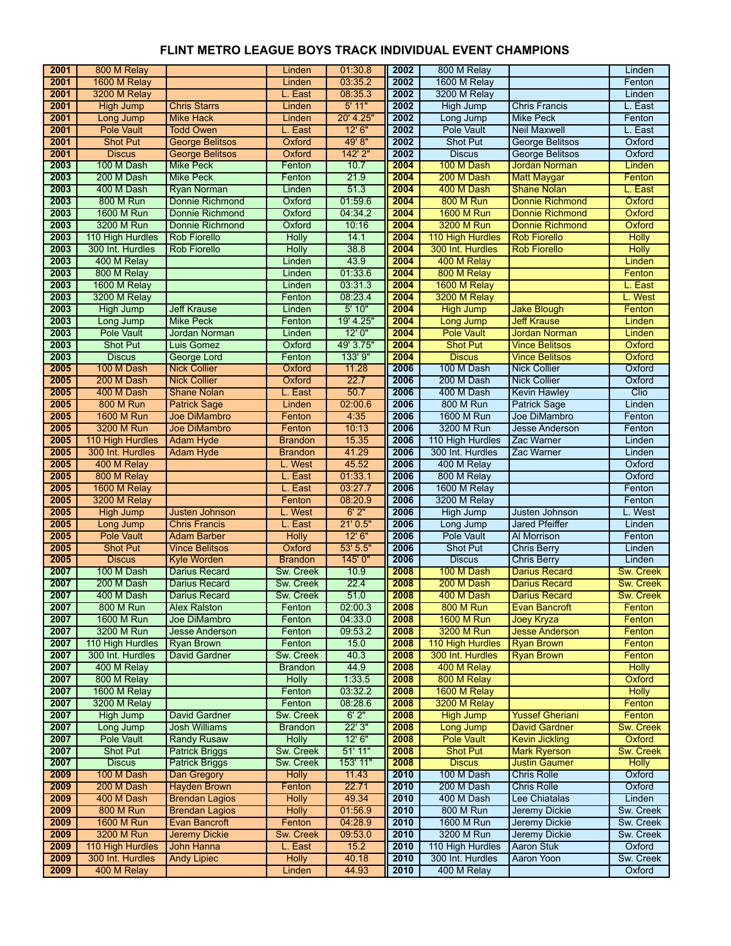| 2001 | 800 M Relay       |                        | Linden           | 01:30.8   | 2002 | 800 M Relay       |                        | Linden           |
|------|-------------------|------------------------|------------------|-----------|------|-------------------|------------------------|------------------|
| 2001 | 1600 M Relay      |                        | Linden           | 03:35.2   | 2002 | 1600 M Relay      |                        | Fenton           |
| 2001 | 3200 M Relay      |                        | L. East          | 08:35.3   | 2002 | 3200 M Relay      |                        | Linden           |
| 2001 | <b>High Jump</b>  | <b>Chris Starrs</b>    | Linden           | $5'$ 11"  | 2002 | <b>High Jump</b>  | <b>Chris Francis</b>   | L. East          |
| 2001 | Long Jump         | <b>Mike Hack</b>       | Linden           | 20' 4.25" | 2002 | Long Jump         | <b>Mike Peck</b>       | Fenton           |
| 2001 | <b>Pole Vault</b> | <b>Todd Owen</b>       | L. East          | 12'6''    | 2002 | Pole Vault        | <b>Neil Maxwell</b>    | L. East          |
| 2001 | <b>Shot Put</b>   | <b>George Belitsos</b> | Oxford           | 49'8"     | 2002 | <b>Shot Put</b>   | <b>George Belitsos</b> | Oxford           |
| 2001 | <b>Discus</b>     | <b>George Belitsos</b> | Oxford           | 142' 2"   | 2002 | <b>Discus</b>     | <b>George Belitsos</b> | Oxford           |
| 2003 | 100 M Dash        | <b>Mike Peck</b>       | Fenton           | 10.7      | 2004 | 100 M Dash        | <b>Jordan Norman</b>   | Linden           |
| 2003 | 200 M Dash        | <b>Mike Peck</b>       | Fenton           | 21.9      | 2004 | 200 M Dash        | <b>Matt Maygar</b>     | Fenton           |
| 2003 | 400 M Dash        | <b>Ryan Norman</b>     | Linden           | 51.3      | 2004 | 400 M Dash        | <b>Shane Nolan</b>     | L. East          |
| 2003 | <b>800 M Run</b>  | Donnie Richmond        | Oxford           | 01:59.6   | 2004 | <b>800 M Run</b>  | <b>Donnie Richmond</b> | Oxford           |
| 2003 | <b>1600 M Run</b> | <b>Donnie Richmond</b> | Oxford           | 04:34.2   | 2004 | <b>1600 M Run</b> | <b>Donnie Richmond</b> | Oxford           |
| 2003 | 3200 M Run        | <b>Donnie Richmond</b> | Oxford           | 10:16     | 2004 | 3200 M Run        | <b>Donnie Richmond</b> | Oxford           |
| 2003 | 110 High Hurdles  | <b>Rob Fiorello</b>    | <b>Holly</b>     | 14.1      | 2004 | 110 High Hurdles  | <b>Rob Fiorello</b>    | <b>Holly</b>     |
| 2003 | 300 Int. Hurdles  | <b>Rob Fiorello</b>    | <b>Holly</b>     | 38.8      | 2004 | 300 Int. Hurdles  | <b>Rob Fiorello</b>    | <b>Holly</b>     |
| 2003 | 400 M Relay       |                        | Linden           | 43.9      | 2004 | 400 M Relay       |                        | Linden           |
| 2003 | 800 M Relay       |                        | Linden           | 01:33.6   | 2004 | 800 M Relay       |                        | Fenton           |
| 2003 | 1600 M Relay      |                        | Linden           | 03:31.3   | 2004 | 1600 M Relay      |                        | L. East          |
| 2003 | 3200 M Relay      |                        | Fenton           | 08:23.4   | 2004 | 3200 M Relay      |                        | L. West          |
| 2003 | <b>High Jump</b>  | <b>Jeff Krause</b>     | Linden           | 5'10"     | 2004 | <b>High Jump</b>  | <b>Jake Blough</b>     | Fenton           |
| 2003 | Long Jump         | <b>Mike Peck</b>       | Fenton           | 19' 4.25" | 2004 | <b>Long Jump</b>  | <b>Jeff Krause</b>     | Linden           |
| 2003 | <b>Pole Vault</b> | Jordan Norman          | Linden           | 12'0''    | 2004 | <b>Pole Vault</b> | <b>Jordan Norman</b>   | Linden           |
| 2003 | <b>Shot Put</b>   | Luis Gomez             | Oxford           | 49' 3.75" | 2004 | <b>Shot Put</b>   | <b>Vince Belitsos</b>  | Oxford           |
| 2003 | <b>Discus</b>     | <b>George Lord</b>     | Fenton           | 133' 9"   | 2004 | <b>Discus</b>     | <b>Vince Belitsos</b>  | Oxford           |
| 2005 | 100 M Dash        | <b>Nick Collier</b>    | Oxford           | 11.28     | 2006 | 100 M Dash        | <b>Nick Collier</b>    | Oxford           |
| 2005 | 200 M Dash        | <b>Nick Collier</b>    | Oxford           | 22.7      | 2006 | 200 M Dash        | <b>Nick Collier</b>    | Oxford           |
| 2005 | 400 M Dash        | <b>Shane Nolan</b>     | L. East          | 50.7      | 2006 | 400 M Dash        | <b>Kevin Hawley</b>    | Clio             |
| 2005 | <b>800 M Run</b>  | <b>Patrick Sage</b>    | Linden           | 02:00.6   | 2006 | <b>800 M Run</b>  | <b>Patrick Sage</b>    | Linden           |
| 2005 | <b>1600 M Run</b> | Joe DiMambro           | Fenton           | 4:35      | 2006 | 1600 M Run        | Joe DiMambro           | Fenton           |
| 2005 | 3200 M Run        | <b>Joe DiMambro</b>    | Fenton           | 10:13     | 2006 | 3200 M Run        | <b>Jesse Anderson</b>  | Fenton           |
| 2005 | 110 High Hurdles  | <b>Adam Hyde</b>       | <b>Brandon</b>   | 15.35     | 2006 | 110 High Hurdles  | Zac Warner             | Linden           |
| 2005 | 300 Int. Hurdles  | <b>Adam Hyde</b>       | <b>Brandon</b>   | 41.29     | 2006 | 300 Int. Hurdles  | Zac Warner             | Linden           |
| 2005 | 400 M Relay       |                        | L. West          | 45.52     | 2006 | 400 M Relay       |                        | Oxford           |
| 2005 | 800 M Relay       |                        | L. East          | 01:33.1   | 2006 | 800 M Relay       |                        | Oxford           |
| 2005 | 1600 M Relay      |                        | L. East          | 03:27.7   | 2006 | 1600 M Relay      |                        | Fenton           |
| 2005 | 3200 M Relay      |                        | Fenton           | 08:20.9   | 2006 | 3200 M Relay      |                        | Fenton           |
| 2005 | <b>High Jump</b>  | <b>Justen Johnson</b>  | L. West          | 6'2"      | 2006 | <b>High Jump</b>  | Justen Johnson         | L. West          |
| 2005 | Long Jump         | <b>Chris Francis</b>   | L. East          | 21'0.5"   | 2006 | Long Jump         | <b>Jared Pfeiffer</b>  | Linden           |
| 2005 | <b>Pole Vault</b> | <b>Adam Barber</b>     | <b>Holly</b>     | 12' 6''   | 2006 | <b>Pole Vault</b> | <b>Al Morrison</b>     | Fenton           |
| 2005 | <b>Shot Put</b>   | <b>Vince Belitsos</b>  | Oxford           | 53' 5.5"  | 2006 | Shot Put          | <b>Chris Berry</b>     | Linden           |
| 2005 | <b>Discus</b>     | <b>Kyle Worden</b>     | <b>Brandon</b>   | 145' 0"   | 2006 | <b>Discus</b>     | <b>Chris Berry</b>     | Linden           |
| 2007 | 100 M Dash        | <b>Darius Recard</b>   | Sw. Creek        | 10.9      | 2008 | 100 M Dash        | <b>Darius Recard</b>   | Sw. Creek        |
| 2007 | 200 M Dash        | <b>Darius Recard</b>   | Sw. Creek        | 22.4      | 2008 | 200 M Dash        | <b>Darius Recard</b>   | Sw. Creek        |
| 2007 | 400 M Dash        | Darius Recard          | Sw. Creek        | 51.0      | 2008 | 400 M Dash        | <b>Darius Recard</b>   | Sw. Creek        |
| 2007 | <b>800 M Run</b>  | <b>Alex Ralston</b>    | Fenton           | 02:00.3   | 2008 | <b>800 M Run</b>  | <b>Evan Bancroft</b>   | Fenton           |
| 2007 | 1600 M Run        | <b>Joe DiMambro</b>    | Fenton           | 04:33.0   | 2008 | 1600 M Run        | Joey Kryza             | Fenton           |
| 2007 | 3200 M Run        | <b>Jesse Anderson</b>  | Fenton           | 09:53.2   | 2008 | 3200 M Run        | <b>Jesse Anderson</b>  | Fenton           |
| 2007 | 110 High Hurdles  | <b>Ryan Brown</b>      | Fenton           | 15.0      | 2008 | 110 High Hurdles  | <b>Ryan Brown</b>      | Fenton           |
| 2007 | 300 Int. Hurdles  | <b>David Gardner</b>   | Sw. Creek        | 40.3      | 2008 | 300 Int. Hurdles  | <b>Ryan Brown</b>      | Fenton           |
| 2007 | 400 M Relay       |                        | <b>Brandon</b>   | 44.9      | 2008 | 400 M Relay       |                        | <b>Holly</b>     |
| 2007 | 800 M Relay       |                        | <b>Holly</b>     | 1:33.5    | 2008 | 800 M Relay       |                        | Oxford           |
| 2007 | 1600 M Relay      |                        | Fenton           | 03:32.2   | 2008 | 1600 M Relay      |                        | <b>Holly</b>     |
| 2007 | 3200 M Relay      |                        | Fenton           | 08:28.6   | 2008 | 3200 M Relay      |                        | Fenton           |
| 2007 | <b>High Jump</b>  | <b>David Gardner</b>   | Sw. Creek        | 6'2''     | 2008 | <b>High Jump</b>  | <b>Yussef Gheriani</b> | Fenton           |
| 2007 | Long Jump         | <b>Josh Williams</b>   | <b>Brandon</b>   | 22'3''    | 2008 | Long Jump         | <b>David Gardner</b>   | <b>Sw. Creek</b> |
| 2007 | <b>Pole Vault</b> | <b>Randy Rusaw</b>     | <b>Holly</b>     | 12'6''    | 2008 | <b>Pole Vault</b> | <b>Kevin Jickling</b>  | Oxford           |
| 2007 | <b>Shot Put</b>   | <b>Patrick Briggs</b>  | Sw. Creek        | 51'11"    | 2008 | <b>Shot Put</b>   | <b>Mark Ryerson</b>    | Sw. Creek        |
| 2007 | <b>Discus</b>     | <b>Patrick Briggs</b>  | Sw. Creek        | 153' 11"  | 2008 | <b>Discus</b>     | <b>Justin Gaumer</b>   | <b>Holly</b>     |
| 2009 | 100 M Dash        | Dan Gregory            | <b>Holly</b>     | 11.43     | 2010 | 100 M Dash        | <b>Chris Rolle</b>     | Oxford           |
| 2009 | 200 M Dash        | <b>Hayden Brown</b>    | Fenton           | 22.71     | 2010 | 200 M Dash        | <b>Chris Rolle</b>     | Oxford           |
| 2009 | 400 M Dash        | <b>Brendan Lagios</b>  | <b>Holly</b>     | 49.34     | 2010 | 400 M Dash        | Lee Chiatalas          | Linden           |
| 2009 | <b>800 M Run</b>  | <b>Brendan Lagios</b>  | <b>Holly</b>     | 01:56.9   | 2010 | 800 M Run         | Jeremy Dickie          | Sw. Creek        |
| 2009 | <b>1600 M Run</b> | <b>Evan Bancroft</b>   | Fenton           | 04:28.9   | 2010 | 1600 M Run        | <b>Jeremy Dickie</b>   | Sw. Creek        |
| 2009 | 3200 M Run        | <b>Jeremy Dickie</b>   | <b>Sw. Creek</b> | 09:53.0   | 2010 | 3200 M Run        | Jeremy Dickie          | Sw. Creek        |
| 2009 | 110 High Hurdles  | John Hanna             | L. East          | 15.2      | 2010 | 110 High Hurdles  | <b>Aaron Stuk</b>      | Oxford           |
| 2009 | 300 Int. Hurdles  | <b>Andy Lipiec</b>     | <b>Holly</b>     | 40.18     | 2010 | 300 Int. Hurdles  | <b>Aaron Yoon</b>      | Sw. Creek        |
| 2009 | 400 M Relay       |                        | Linden           | 44.93     | 2010 | 400 M Relay       |                        | Oxford           |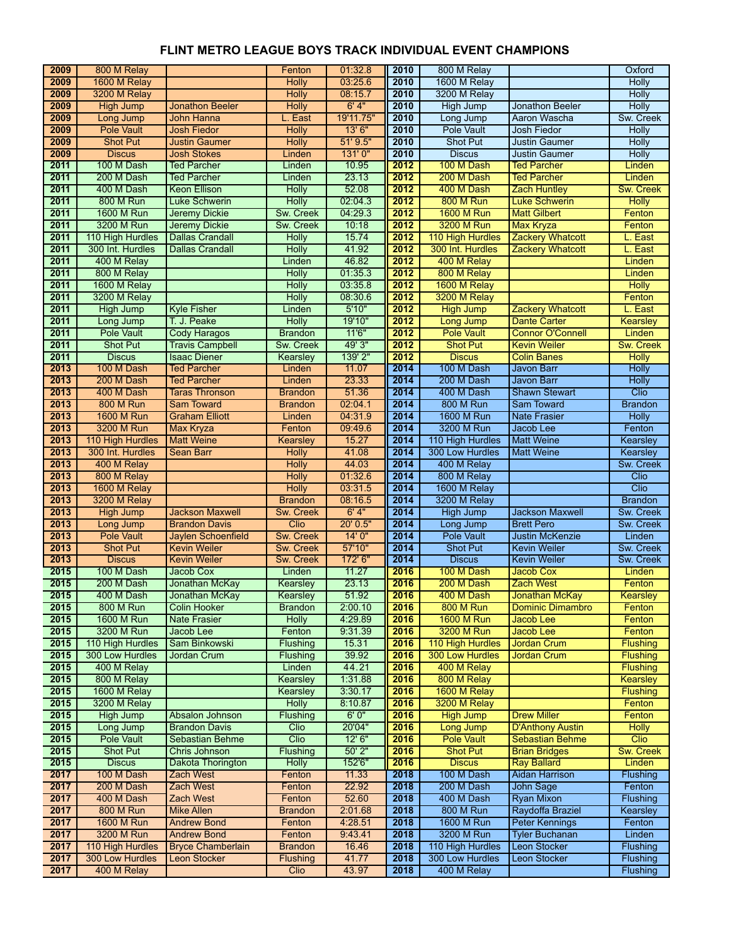| 2009         | 800 M Relay                         |                                                | Fenton                   | 01:32.8          | 2010         | 800 M Relay                         |                                             | Oxford                 |
|--------------|-------------------------------------|------------------------------------------------|--------------------------|------------------|--------------|-------------------------------------|---------------------------------------------|------------------------|
| 2009         | 1600 M Relay                        |                                                | <b>Holly</b>             | 03:25.6          | 2010         | 1600 M Relay                        |                                             | <b>Holly</b>           |
| 2009         | 3200 M Relay                        |                                                | Holly                    | 08:15.7          | 2010         | 3200 M Relay                        |                                             | <b>Holly</b>           |
| 2009         | <b>High Jump</b>                    | <b>Jonathon Beeler</b>                         | <b>Holly</b>             | 6'4"             | 2010         | <b>High Jump</b>                    | <b>Jonathon Beeler</b>                      | <b>Holly</b>           |
| 2009         | Long Jump                           | John Hanna                                     | L. East                  | 19'11.75"        | 2010         | Long Jump                           | Aaron Wascha                                | Sw. Creek              |
| 2009         | <b>Pole Vault</b>                   | <b>Josh Fiedor</b>                             | <b>Holly</b>             | 13'6''           | 2010         | Pole Vault                          | Josh Fiedor                                 | <b>Holly</b>           |
| 2009         | <b>Shot Put</b>                     | <b>Justin Gaumer</b>                           | <b>Holly</b>             | 51'9.5"          | 2010         | Shot Put                            | <b>Justin Gaumer</b>                        | Holly                  |
| 2009         | <b>Discus</b>                       | <b>Josh Stokes</b>                             | Linden                   | 131'0"           | 2010         | <b>Discus</b>                       | <b>Justin Gaumer</b>                        | <b>Holly</b>           |
| 2011         | 100 M Dash                          | <b>Ted Parcher</b>                             | Linden                   | 10.95            | 2012         | 100 M Dash                          | <b>Ted Parcher</b>                          | Linden                 |
| 2011         | 200 M Dash                          | <b>Ted Parcher</b>                             | Linden                   | 23.13            | 2012         | 200 M Dash                          | <b>Ted Parcher</b>                          | Linden                 |
| 2011         | 400 M Dash                          | <b>Keon Ellison</b>                            | <b>Holly</b>             | 52.08            | 2012         | 400 M Dash                          | <b>Zach Huntley</b>                         | <b>Sw. Creek</b>       |
| 2011         | <b>800 M Run</b>                    | <b>Luke Schwerin</b>                           | Holly                    | 02:04.3          | 2012         | <b>800 M Run</b>                    | <b>Luke Schwerin</b>                        | <b>Holly</b>           |
| 2011         | <b>1600 M Run</b>                   | <b>Jeremy Dickie</b>                           | Sw. Creek                | 04:29.3          | 2012         | <b>1600 M Run</b>                   | <b>Matt Gilbert</b>                         | Fenton                 |
| 2011         | 3200 M Run                          | Jeremy Dickie                                  | Sw. Creek                | 10:18            | 2012         | 3200 M Run                          | Max Kryza                                   | Fenton                 |
| 2011         | 110 High Hurdles                    | <b>Dallas Crandall</b>                         | <b>Holly</b>             | 15.74            | 2012         | 110 High Hurdles                    | <b>Zackery Whatcott</b>                     | L. East                |
| 2011         | 300 Int. Hurdles                    | <b>Dallas Crandall</b>                         | <b>Holly</b>             | 41.92            | 2012         | 300 Int. Hurdles                    | <b>Zackery Whatcott</b>                     | L. East                |
| 2011         | 400 M Relay                         |                                                | Linden                   | 46.82            | 2012         | 400 M Relay                         |                                             | Linden                 |
| 2011         | 800 M Relay                         |                                                | <b>Holly</b>             | 01:35.3          | 2012         | 800 M Relay                         |                                             | Linden                 |
| 2011         | 1600 M Relay                        |                                                | <b>Holly</b>             | 03:35.8          | 2012         | 1600 M Relay                        |                                             | <b>Holly</b>           |
| 2011         | 3200 M Relay                        |                                                | <b>Holly</b>             | 08:30.6          | 2012         | 3200 M Relay                        |                                             | Fenton                 |
| 2011         | <b>High Jump</b>                    | <b>Kyle Fisher</b>                             | Linden                   | 5'10"            | 2012         | <b>High Jump</b>                    | <b>Zackery Whatcott</b>                     | L. East                |
| 2011         | Long Jump                           | T. J. Peake                                    | <b>Holly</b>             | 19'10"           | 2012         | <b>Long Jump</b>                    | <b>Dante Carter</b>                         | Kearsley               |
| 2011         | Pole Vault                          | <b>Cody Haragos</b>                            | <b>Brandon</b>           | 11'6''           | 2012         | <b>Pole Vault</b>                   | <b>Connor O'Connell</b>                     | Linden                 |
| 2011         | <b>Shot Put</b>                     | <b>Travis Campbell</b>                         | Sw. Creek                | 49' 3"           | 2012         | <b>Shot Put</b>                     | <b>Kevin Weiler</b>                         | <b>Sw. Creek</b>       |
| 2011         | <b>Discus</b>                       | <b>Isaac Diener</b>                            | Kearsley                 | 139' 2"          | 2012         | <b>Discus</b>                       | <b>Colin Banes</b>                          | <b>Holly</b>           |
| 2013         | 100 M Dash                          | <b>Ted Parcher</b>                             | Linden                   | 11.07            | 2014         | 100 M Dash                          | Javon Barr                                  | <b>Holly</b>           |
| 2013         | 200 M Dash                          | <b>Ted Parcher</b>                             | Linden                   | 23.33            | 2014         | 200 M Dash                          | Javon Barr                                  | <b>Holly</b>           |
| 2013         | 400 M Dash                          | <b>Taras Thronson</b>                          | <b>Brandon</b>           | 51.36            | 2014         | 400 M Dash                          | <b>Shawn Stewart</b>                        | Clio                   |
| 2013         | <b>800 M Run</b>                    | <b>Sam Toward</b>                              | <b>Brandon</b>           | 02:04.1          | 2014         | <b>800 M Run</b>                    | Sam Toward                                  | <b>Brandon</b>         |
| 2013         | 1600 M Run                          | <b>Graham Elliott</b>                          | Linden                   | 04:31.9          | 2014         | 1600 M Run                          | <b>Nate Frasier</b>                         | <b>Holly</b>           |
| 2013         | 3200 M Run                          | <b>Max Kryza</b>                               | Fenton                   | 09:49.6          | 2014         | 3200 M Run                          | Jacob Lee                                   | Fenton                 |
| 2013         | 110 High Hurdles                    | <b>Matt Weine</b>                              | Kearsley                 | 15.27            | 2014         | 110 High Hurdles                    | <b>Matt Weine</b>                           | <b>Kearsley</b>        |
| 2013         | 300 Int. Hurdles                    | <b>Sean Barr</b>                               | <b>Holly</b>             | 41.08            | 2014         | 300 Low Hurdles                     | <b>Matt Weine</b>                           | Kearsley               |
| 2013         | 400 M Relay                         |                                                | <b>Holly</b>             | 44.03            | 2014         | 400 M Relay                         |                                             | Sw. Creek              |
| 2013         | 800 M Relay                         |                                                | <b>Holly</b>             | 01:32.6          | 2014         | 800 M Relay                         |                                             | Clio                   |
| 2013         | 1600 M Relay                        |                                                | <b>Holly</b>             | 03:31.5          | 2014         | 1600 M Relay                        |                                             | Clio                   |
| 2013         | 3200 M Relay                        |                                                | <b>Brandon</b>           | 08:16.5<br>6'4"  | 2014         | 3200 M Relay                        |                                             | <b>Brandon</b>         |
| 2013<br>2013 | <b>High Jump</b>                    | <b>Jackson Maxwell</b><br><b>Brandon Davis</b> | Sw. Creek<br>Clio        | 20' 0.5"         | 2014<br>2014 | <b>High Jump</b>                    | <b>Jackson Maxwell</b><br><b>Brett Pero</b> | Sw. Creek<br>Sw. Creek |
| 2013         | Long Jump<br><b>Pole Vault</b>      | <b>Jaylen Schoenfield</b>                      | Sw. Creek                | 14'0''           | 2014         | Long Jump<br><b>Pole Vault</b>      | <b>Justin McKenzie</b>                      | Linden                 |
| 2013         | <b>Shot Put</b>                     | <b>Kevin Weiler</b>                            | Sw. Creek                | 57'10"           | 2014         | <b>Shot Put</b>                     | <b>Kevin Weiler</b>                         | Sw. Creek              |
| 2013         | <b>Discus</b>                       | <b>Kevin Weiler</b>                            | Sw. Creek                | 172' 6"          | 2014         | <b>Discus</b>                       | <b>Kevin Weiler</b>                         | Sw. Creek              |
| 2015         | 100 M Dash                          | <b>Jacob Cox</b>                               | Linden                   | 11.27            | 2016         | 100 M Dash                          | <b>Jacob Cox</b>                            | Linden                 |
| 2015         | 200 M Dash                          | Jonathan McKay                                 | Kearsley                 | 23.13            | 2016         | 200 M Dash                          | <b>Zach West</b>                            | Fenton                 |
| 2015         | 400 M Dash                          | Jonathan McKay                                 | Kearsley                 | 51.92            | 2016         | 400 M Dash                          | Jonathan McKay                              | Kearsley               |
| 2015         | <b>800 M Run</b>                    | <b>Colin Hooker</b>                            | <b>Brandon</b>           | 2:00.10          | 2016         | <b>800 M Run</b>                    | <b>Dominic Dimambro</b>                     | Fenton                 |
| 2015         | 1600 M Run                          | <b>Nate Frasier</b>                            | <b>Holly</b>             | 4:29.89          | 2016         | <b>1600 M Run</b>                   | Jacob Lee                                   | Fenton                 |
| 2015         | 3200 M Run                          | Jacob Lee                                      | Fenton                   | 9:31.39          | 2016         | 3200 M Run                          | <b>Jacob Lee</b>                            | Fenton                 |
| 2015         | 110 High Hurdles                    | Sam Binkowski                                  | Flushing                 | 15.31            | 2016         | 110 High Hurdles                    | <b>Jordan Crum</b>                          | <b>Flushing</b>        |
| 2015         | 300 Low Hurdles                     | Jordan Crum                                    | Flushing                 | 39.92            | 2016         | <b>300 Low Hurdles</b>              | <b>Jordan Crum</b>                          | Flushing               |
| 2015         | 400 M Relay                         |                                                | Linden                   | 44.21            | 2016         | 400 M Relay                         |                                             | <b>Flushing</b>        |
| 2015         | 800 M Relay                         |                                                | Kearsley                 | 1:31.88          | 2016         | 800 M Relay                         |                                             | <b>Kearsley</b>        |
| 2015         | 1600 M Relay                        |                                                | Kearsley                 | 3:30.17          | 2016         | 1600 M Relay                        |                                             | Flushing               |
| 2015         | 3200 M Relay                        |                                                | <b>Holly</b>             | 8:10.87          | 2016         | 3200 M Relay                        |                                             | Fenton                 |
| 2015         | High Jump                           | Absalon Johnson                                | Flushing                 | 6'0''            | 2016         | <b>High Jump</b>                    | <b>Drew Miller</b>                          | Fenton                 |
| 2015         | Long Jump                           | <b>Brandon Davis</b>                           | Clio                     | 20'04"           | 2016         | Long Jump                           | <b>D'Anthony Austin</b>                     | <b>Holly</b>           |
| 2015         |                                     |                                                | Clio                     | 12'6''           | 2016         | <b>Pole Vault</b>                   | <b>Sebastian Behme</b>                      | Clio                   |
| 2015         |                                     |                                                |                          |                  |              |                                     |                                             |                        |
|              | <b>Pole Vault</b>                   | Sebastian Behme                                |                          |                  |              |                                     |                                             |                        |
|              | <b>Shot Put</b>                     | Chris Johnson                                  | Flushing                 | $50'$ $2"$       | 2016         | <b>Shot Put</b>                     | <b>Brian Bridges</b>                        | Sw. Creek              |
| 2015         | <b>Discus</b>                       | Dakota Thorington                              | <b>Holly</b>             | 152'6"           | 2016         | <b>Discus</b>                       | <b>Ray Ballard</b>                          | Linden                 |
| 2017         | 100 M Dash                          | <b>Zach West</b>                               | Fenton                   | 11.33            | 2018         | 100 M Dash                          | <b>Aidan Harrison</b>                       | Flushing               |
| 2017         | 200 M Dash                          | <b>Zach West</b>                               | Fenton                   | 22.92            | 2018         | 200 M Dash                          | John Sage                                   | Fenton                 |
| 2017         | 400 M Dash                          | Zach West                                      | Fenton                   | 52.60            | 2018         | 400 M Dash                          | <b>Ryan Mixon</b>                           | Flushing               |
| 2017         | <b>800 M Run</b>                    | <b>Mike Allen</b>                              | <b>Brandon</b>           | 2:01.68          | 2018         | 800 M Run                           | Raydoffa Braziel                            | Kearsley               |
| 2017         | <b>1600 M Run</b>                   | <b>Andrew Bond</b>                             | Fenton                   | 4:28.51          | 2018         | <b>1600 M Run</b>                   | <b>Peter Kennings</b>                       | Fenton                 |
| 2017         | 3200 M Run                          | <b>Andrew Bond</b><br><b>Bryce Chamberlain</b> | Fenton<br><b>Brandon</b> | 9:43.41<br>16.46 | 2018<br>2018 | 3200 M Run                          | <b>Tyler Buchanan</b><br>Leon Stocker       | Linden<br>Flushing     |
| 2017<br>2017 | 110 High Hurdles<br>300 Low Hurdles | <b>Leon Stocker</b>                            | Flushing                 | 41.77            | 2018         | 110 High Hurdles<br>300 Low Hurdles | <b>Leon Stocker</b>                         | Flushing               |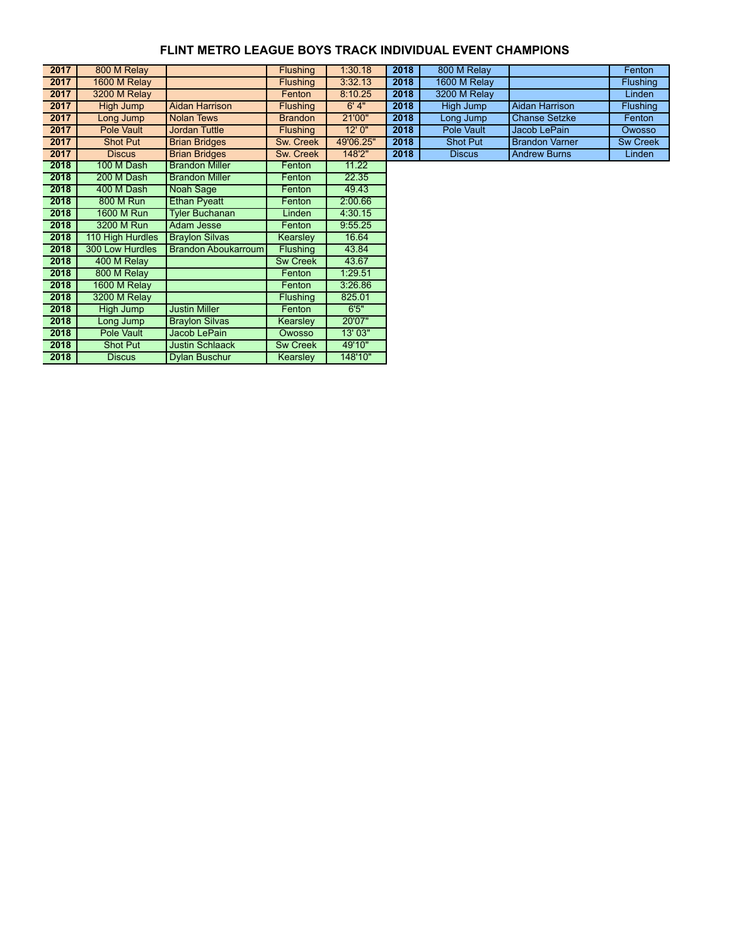| 2017 | 800 M Relay      |                        | <b>Flushing</b> | 1:30.18   | 2018 | 800 M Relay     |                       | Fenton          |
|------|------------------|------------------------|-----------------|-----------|------|-----------------|-----------------------|-----------------|
| 2017 | 1600 M Relay     |                        | <b>Flushing</b> | 3:32.13   | 2018 | 1600 M Relay    |                       | <b>Flushing</b> |
| 2017 | 3200 M Relay     |                        | Fenton          | 8:10.25   | 2018 | 3200 M Relay    |                       | Linden          |
| 2017 | High Jump        | Aidan Harrison         | <b>Flushing</b> | 6'4"      | 2018 | High Jump       | Aidan Harrison        | <b>Flushing</b> |
| 2017 | Long Jump        | <b>Nolan Tews</b>      | <b>Brandon</b>  | 21'00"    | 2018 | Long Jump       | <b>Chanse Setzke</b>  | Fenton          |
| 2017 | Pole Vault       | <b>Jordan Tuttle</b>   | <b>Flushing</b> | 12'0''    | 2018 | Pole Vault      | Jacob LePain          | <b>Owosso</b>   |
| 2017 | <b>Shot Put</b>  | <b>Brian Bridges</b>   | Sw. Creek       | 49'06.25" | 2018 | <b>Shot Put</b> | <b>Brandon Varner</b> | <b>Sw Creek</b> |
| 2017 | <b>Discus</b>    | <b>Brian Bridges</b>   | Sw. Creek       | 148'2"    | 2018 | <b>Discus</b>   | <b>Andrew Burns</b>   | Linden          |
| 2018 | 100 M Dash       | <b>Brandon Miller</b>  | Fenton          | 11.22     |      |                 |                       |                 |
| 2018 | 200 M Dash       | <b>Brandon Miller</b>  | Fenton          | 22.35     |      |                 |                       |                 |
| 2018 | 400 M Dash       | Noah Sage              | Fenton          | 49.43     |      |                 |                       |                 |
| 2018 | 800 M Run        | <b>Ethan Pyeatt</b>    | Fenton          | 2:00.66   |      |                 |                       |                 |
| 2018 | 1600 M Run       | <b>Tyler Buchanan</b>  | Linden          | 4:30.15   |      |                 |                       |                 |
| 2018 | 3200 M Run       | <b>Adam Jesse</b>      | Fenton          | 9:55.25   |      |                 |                       |                 |
| 2018 | 110 High Hurdles | <b>Braylon Silvas</b>  | Kearsley        | 16.64     |      |                 |                       |                 |
| 2018 | 300 Low Hurdles  | Brandon Aboukarroum    | <b>Flushing</b> | 43.84     |      |                 |                       |                 |
| 2018 | 400 M Relay      |                        | <b>Sw Creek</b> | 43.67     |      |                 |                       |                 |
| 2018 | 800 M Relay      |                        | Fenton          | 1:29.51   |      |                 |                       |                 |
| 2018 | 1600 M Relay     |                        | Fenton          | 3:26.86   |      |                 |                       |                 |
| 2018 | 3200 M Relay     |                        | <b>Flushing</b> | 825.01    |      |                 |                       |                 |
| 2018 | High Jump        | <b>Justin Miller</b>   | Fenton          | 6'5''     |      |                 |                       |                 |
| 2018 | Long Jump        | <b>Braylon Silvas</b>  | <b>Kearsley</b> | 20'07"    |      |                 |                       |                 |
| 2018 | Pole Vault       | Jacob LePain           | Owosso          | 13' 03"   |      |                 |                       |                 |
| 2018 | <b>Shot Put</b>  | <b>Justin Schlaack</b> | <b>Sw Creek</b> | 49'10"    |      |                 |                       |                 |
| 2018 | <b>Discus</b>    | Dylan Buschur          | Kearsley        | 148'10"   |      |                 |                       |                 |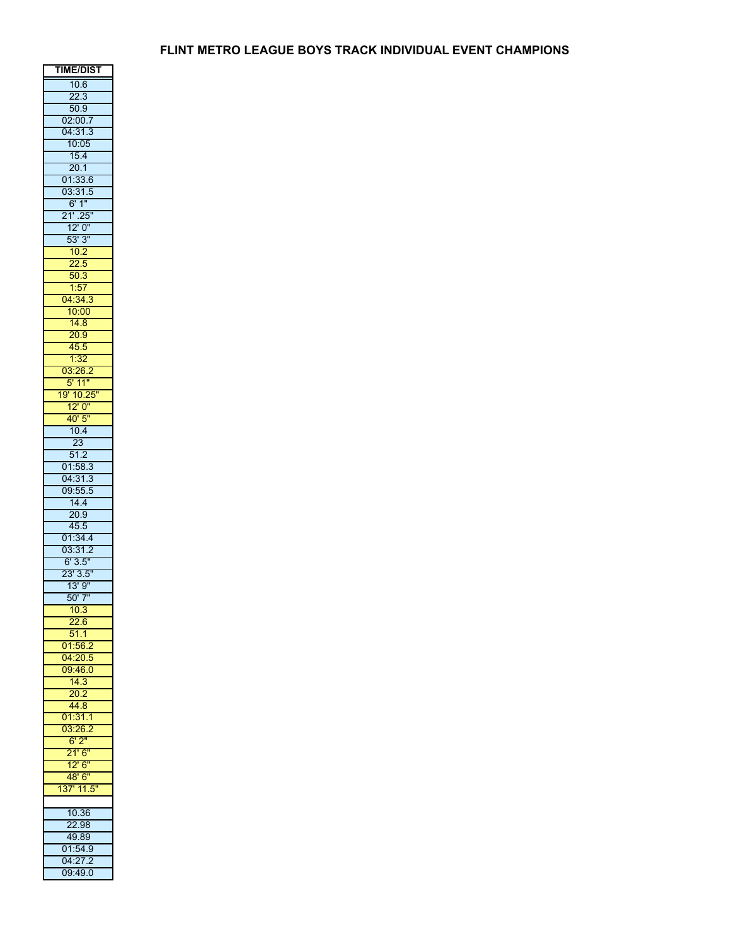| TIME/DIST                                         |
|---------------------------------------------------|
| 10.6                                              |
| $\frac{22.3}{50.9}$                               |
|                                                   |
| 02:00.7                                           |
| 04:31.3                                           |
| 10:05                                             |
| 15.4                                              |
| $\frac{20.1}{01:33.6}$                            |
|                                                   |
| 03:31.5                                           |
| $\frac{6!}{21!}.25"$                              |
|                                                   |
| 12'0''                                            |
| $\frac{12}{53}$ $\frac{3}{10.2}$ $\frac{22.5}{5}$ |
|                                                   |
|                                                   |
| $\frac{50.3}{1.57}$                               |
| 04:34.3                                           |
| 10:00                                             |
| 14.8                                              |
| 20.9                                              |
|                                                   |
| $\frac{45.5}{1:32}$                               |
| 03:26.2                                           |
|                                                   |
| 5' 11"<br>19' 10.25"                              |
| 12'0''                                            |
|                                                   |
| $\frac{40'5''}{10.4}$                             |
| $\overline{23}$                                   |
| $\frac{1}{51.2}$                                  |
| 01:58.3                                           |
| 04:31.3                                           |
| 09:55.5                                           |
| 14.4                                              |
| 20.9                                              |
|                                                   |
| $\frac{45.5}{01:34.4}$                            |
| 03:31.2                                           |
| 6' 3.5"<br>23' 3.5"                               |
|                                                   |
| $\frac{13!}{9!}$                                  |
| $\frac{1}{50'7''}$                                |
|                                                   |
| 22.6                                              |
| $\overline{51.1}$                                 |
| 01:56.2                                           |
| 04:20.5                                           |
| 09:46.0                                           |
| 14.3                                              |
| 20.2                                              |
| 44.8                                              |
| 01:31.1                                           |
| 03:26.2                                           |
| $\frac{6!2!}{21!6!}$                              |
|                                                   |
| $\frac{1}{12}$ " 6"                               |
| 48' 6"                                            |
| 137' 11.5"                                        |
|                                                   |
| 10.36                                             |
| 22.98                                             |
| 49.89                                             |
| 01:54.9                                           |
| 04:27.2                                           |
| 09:49.0                                           |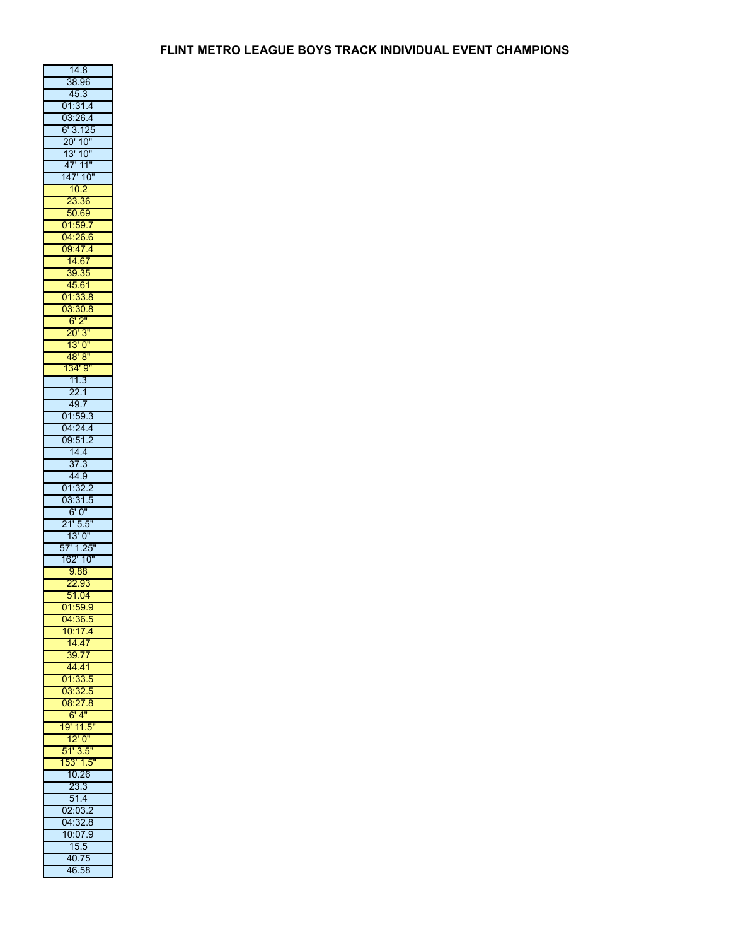| 14.8                           |
|--------------------------------|
| 38.96                          |
| 45.3                           |
| 01:31.4                        |
| 03:26.4<br>6' 3.125<br>20' 10" |
|                                |
|                                |
| 13' 10"<br>47' 11"             |
| 147' 10"                       |
| $\frac{10.2}{23.36}$           |
| $\overline{23}$                |
| 50.69                          |
| 01:59.7<br>04:26.6             |
|                                |
| 09:47.4                        |
| 14.67<br>39.35                 |
| 45.61                          |
|                                |
| $\frac{01:33.8}{03:30.8}$      |
| 6'2"                           |
| $\frac{20!3!}{13!0!}$          |
|                                |
| 48' 8"                         |
| 134' 9"<br>11.3                |
|                                |
| 22.1                           |
| 49.7<br>01:59.3                |
| 04:24.4                        |
| 09:51                          |
| 14.4                           |
| 37.3                           |
| 44.9                           |
| 01:32.2                        |
| 03:31.5                        |
| 6'0''                          |
| 21'5.5''                       |
| 13'0''                         |
| 57' 1.25"                      |
| 162' 10"                       |
| 9.88                           |
| 22.93<br>51.04                 |
| 01:59.9                        |
|                                |
| 04:36.5<br>10:17.4             |
| 14.47                          |
|                                |
| 39.77<br>44.41                 |
| 01:33.5                        |
|                                |
| 03:32.5<br>08:27.8             |
| 6'4''                          |
| 19' 11.5                       |
| 12'0''                         |
| 51'3.5''                       |
| 53' 1.5"                       |
| $\frac{1}{10.26}$              |
| 23.3                           |
| 51.4<br>02:03.2                |
| 04:32.8                        |
| 10:07.9                        |
| 15.5                           |
|                                |
| 40.75                          |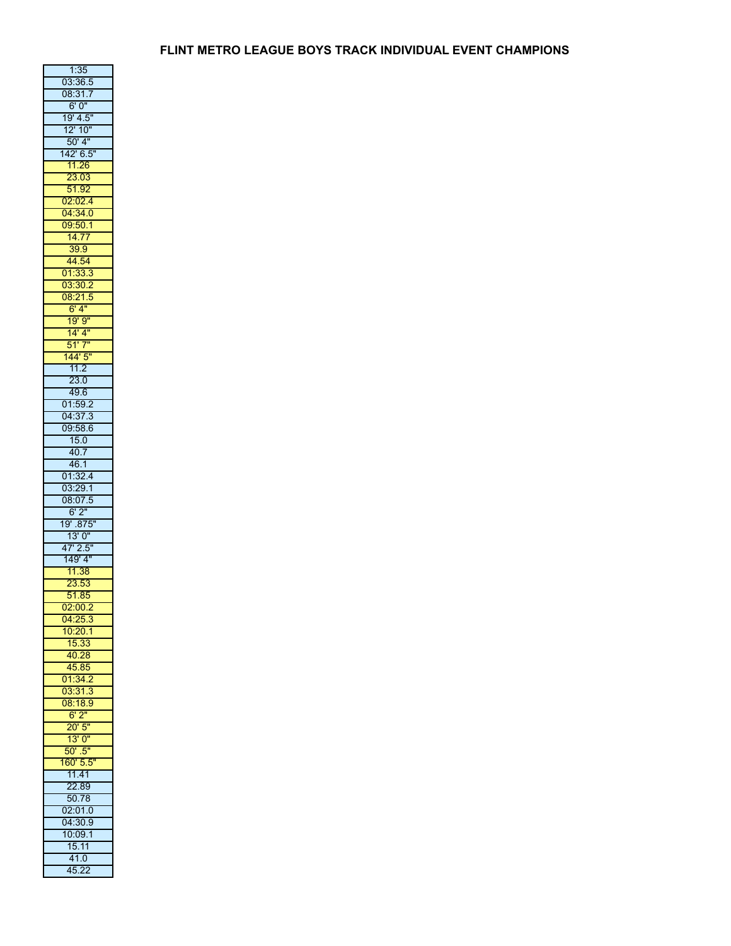| 1:35                              |
|-----------------------------------|
| 03:36.5<br>08:31.7                |
| 6'0''                             |
|                                   |
| 19' 4.5"<br>12' 10"               |
| $50'$ 4"                          |
|                                   |
| 142' 6.5"<br>11.26                |
| 23.03                             |
|                                   |
| $\frac{51.92}{02:02.4}$           |
| 04:34.0                           |
| $\frac{09:50.1}{14.77}$           |
|                                   |
| 39.9                              |
| $\frac{44.54}{01.33.3}$           |
| 03:30.2                           |
|                                   |
| $\frac{08:21.5}{6'4''}$           |
| 19'9''                            |
|                                   |
| <mark>14' 4"</mark><br>51' 7"     |
| $\frac{1}{44}$ 5"                 |
| 11.2                              |
| 23.0                              |
| 49.6                              |
| 01:59.2<br>04:37.3                |
|                                   |
| 09:58.6                           |
| $\frac{15.0}{40.7}$               |
|                                   |
| $\frac{46.1}{5}$                  |
| 01:32.4<br>03:29.1                |
|                                   |
| $\frac{08:07.5}{6'2''}$ 19' .875" |
|                                   |
| 13'0''                            |
| 47' 2.5"                          |
| 149' 4"                           |
| 11.38                             |
| 23.53<br>51.85                    |
|                                   |
| 02:00.2                           |
| 04:25.3<br>10:20.1                |
|                                   |
| 15.33                             |
| 40.28<br>45.85                    |
| 01:34.2                           |
|                                   |
| 03:31.3<br>08:18.9                |
| 6'2"                              |
| 20'5''                            |
| $\frac{1}{13}$ , $\frac{1}{0}$    |
| $\overline{50"}.5"$               |
| 160' 5.5"<br>11.41                |
|                                   |
| 22.89                             |
| 50.78                             |
| 02:01.0                           |
| 04:30.9                           |
| 10:09.1                           |
| 15.11                             |
| 41.0                              |
| 45.22                             |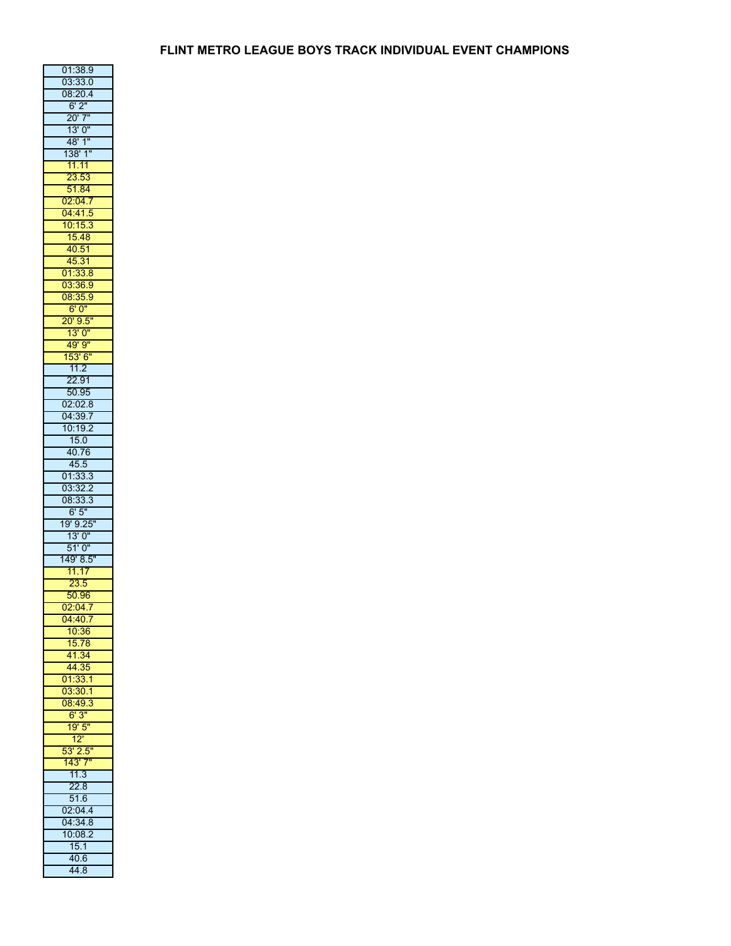| 01:38.9                          |
|----------------------------------|
| 03:33.0                          |
| 08:20.4                          |
| $\frac{16.24}{6.2}$              |
| 20' 7"<br>13' 0"                 |
|                                  |
| 48'1''                           |
|                                  |
|                                  |
| 138' 1"<br>11.11<br>23.53        |
| $\frac{51.84}{02:04.7}$          |
|                                  |
| 04:41.5                          |
| 10:15.3                          |
| 15.48                            |
| 40.51                            |
| 45.31                            |
| 01:33.8                          |
| 03:36.9                          |
| $\frac{08:35.9}{6'0''}$          |
|                                  |
| 20'9.5''                         |
| 13'0''                           |
| 49'9''                           |
| 153'6''                          |
| 11.2                             |
| 22.91                            |
| 50.95                            |
| 02:02.8<br>04:39.7               |
|                                  |
| 10:19.2                          |
| $\overline{15.0}$                |
| 40.76                            |
| 45.5                             |
| 01:33.3<br>03:32.2               |
|                                  |
| 08:33.3                          |
| $\frac{6!}{19!}\frac{5!}{9.25!}$ |
|                                  |
| 13'0''                           |
| $\frac{1}{51'0''}$               |
| 149' 8.5"                        |
| 11.17                            |
| 23.5                             |
| 50.96                            |
| 02:04.7                          |
| 04:40.7                          |
| 10:36                            |
| 15.78                            |
| 41.34                            |
| 44.35                            |
| 01:33.1                          |
| 03:30.1<br>08:49.3               |
|                                  |
| 6'3''                            |
|                                  |
| 19'5                             |
| 12                               |
| 53'2.5                           |
| 43' 7"                           |
| $\frac{1}{11.3}$                 |
| 228                              |
|                                  |
| 51.6<br>02:04.4                  |
|                                  |
| 04:34.8<br>1                     |
| 0:08.2<br>15.1                   |
| 40.6                             |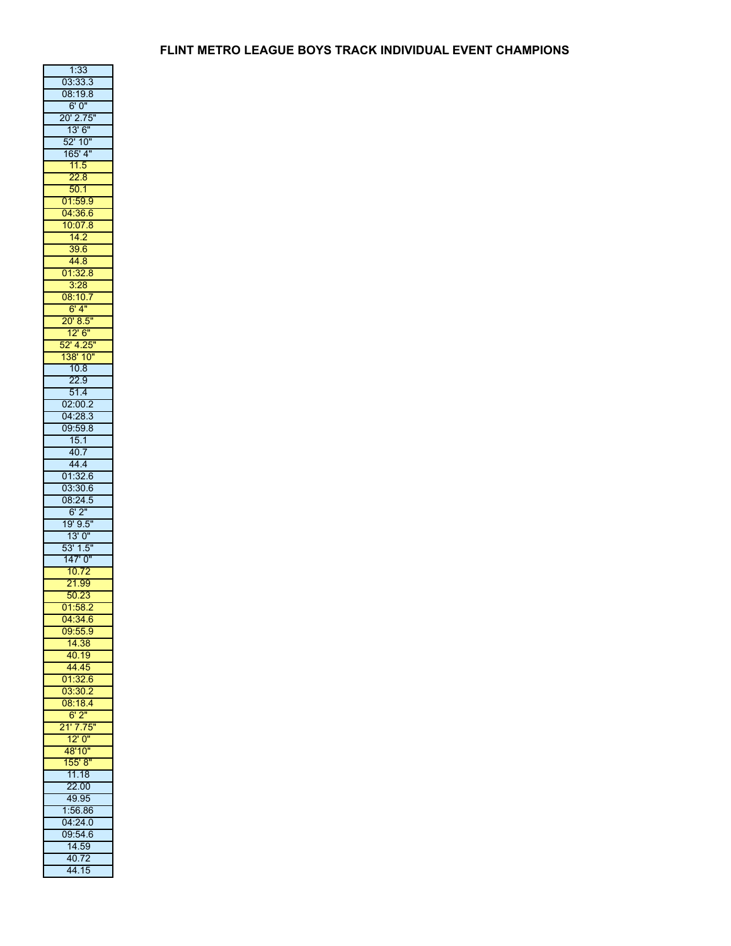| 1:33                        |
|-----------------------------|
| 03:33.3<br>08:19.8          |
|                             |
| 6'0"                        |
| 20' 2.75"<br>13' 6"         |
|                             |
| 52' 10''                    |
|                             |
| 165' 4"<br>11.5             |
| 22.8                        |
| $\frac{50.1}{01.59.9}$      |
|                             |
| 04:36.6                     |
| $\frac{10:07.8}{14.2}$      |
|                             |
| 39.6                        |
| $\frac{44.8}{01.32.8}$      |
|                             |
| 3:28                        |
| 08:10.7                     |
| 6'4"                        |
| $\frac{1}{20'}$ 8.5"        |
| 12' 6"<br>52' 4.25"         |
|                             |
| 138' 10"                    |
| $\frac{10.8}{22.9}$         |
|                             |
| 51.4                        |
| 02:00.2<br>04:28.3          |
|                             |
| 09:59.8                     |
| $\frac{15.1}{40.7}$         |
|                             |
| 44.4                        |
| 01:32.6<br>03:30.6          |
|                             |
| 08:24.5                     |
| $\frac{6!2!}{19!9.5!}$      |
|                             |
| 13'0''                      |
| $\frac{53' 1.5''}{2}$       |
| $\overline{147'0''}$        |
| 10.72                       |
| 21.99<br>50.23              |
|                             |
|                             |
| 01:58.2                     |
|                             |
| $\frac{04:34.6}{09:55.9}$   |
| 14.38                       |
|                             |
|                             |
| 40.19<br>44.45<br>01:32.6   |
|                             |
|                             |
| 03:30.2<br>08:18.4<br>6'2'' |
|                             |
| 21' 7.75<br>12' 0"          |
| 48'10"                      |
| 155' 8''                    |
| 11.18                       |
|                             |
| 22.00                       |
| 49.95<br>1:56.86            |
|                             |
| 04:24.0                     |
| 09:54.6                     |
| 14.59<br>40.72              |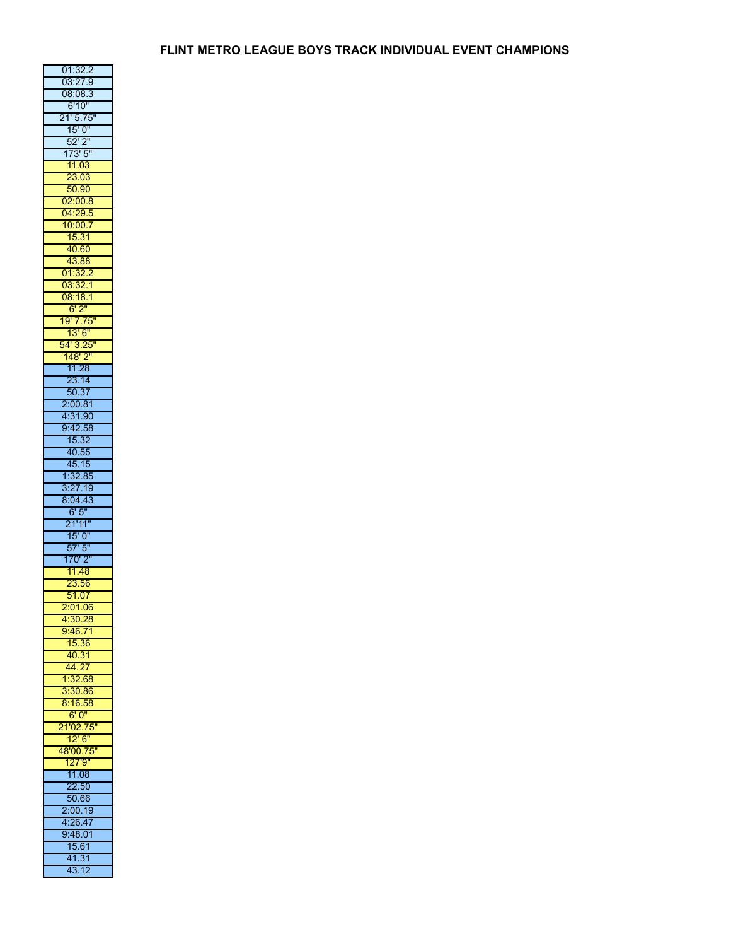